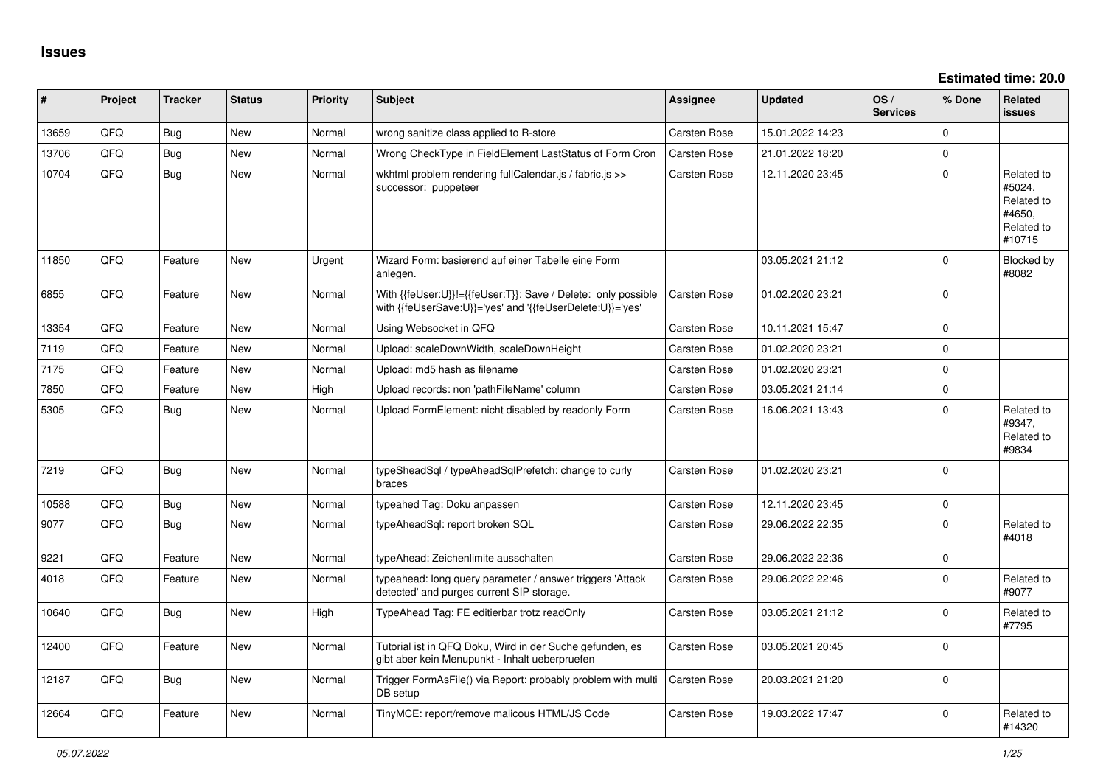**Estimated time: 20.0**

| ∦     | Project | <b>Tracker</b> | <b>Status</b> | <b>Priority</b> | <b>Subject</b>                                                                                                             | Assignee            | <b>Updated</b>   | OS/<br><b>Services</b> | % Done      | <b>Related</b><br><b>issues</b>                                      |
|-------|---------|----------------|---------------|-----------------|----------------------------------------------------------------------------------------------------------------------------|---------------------|------------------|------------------------|-------------|----------------------------------------------------------------------|
| 13659 | QFQ     | Bug            | <b>New</b>    | Normal          | wrong sanitize class applied to R-store                                                                                    | <b>Carsten Rose</b> | 15.01.2022 14:23 |                        | $\mathbf 0$ |                                                                      |
| 13706 | QFQ     | Bug            | New           | Normal          | Wrong CheckType in FieldElement LastStatus of Form Cron                                                                    | <b>Carsten Rose</b> | 21.01.2022 18:20 |                        | $\mathbf 0$ |                                                                      |
| 10704 | QFQ     | Bug            | <b>New</b>    | Normal          | wkhtml problem rendering fullCalendar.js / fabric.js >><br>successor: puppeteer                                            | Carsten Rose        | 12.11.2020 23:45 |                        | $\Omega$    | Related to<br>#5024,<br>Related to<br>#4650,<br>Related to<br>#10715 |
| 11850 | QFQ     | Feature        | New           | Urgent          | Wizard Form: basierend auf einer Tabelle eine Form<br>anlegen.                                                             |                     | 03.05.2021 21:12 |                        | $\Omega$    | Blocked by<br>#8082                                                  |
| 6855  | QFQ     | Feature        | <b>New</b>    | Normal          | With {{feUser:U}}!={{feUser:T}}: Save / Delete: only possible<br>with {{feUserSave:U}}='yes' and '{{feUserDelete:U}}='yes' | <b>Carsten Rose</b> | 01.02.2020 23:21 |                        | $\Omega$    |                                                                      |
| 13354 | QFQ     | Feature        | New           | Normal          | Using Websocket in QFQ                                                                                                     | Carsten Rose        | 10.11.2021 15:47 |                        | $\mathbf 0$ |                                                                      |
| 7119  | QFQ     | Feature        | <b>New</b>    | Normal          | Upload: scaleDownWidth, scaleDownHeight                                                                                    | <b>Carsten Rose</b> | 01.02.2020 23:21 |                        | $\mathbf 0$ |                                                                      |
| 7175  | QFQ     | Feature        | New           | Normal          | Upload: md5 hash as filename                                                                                               | Carsten Rose        | 01.02.2020 23:21 |                        | $\mathsf 0$ |                                                                      |
| 7850  | QFQ     | Feature        | <b>New</b>    | High            | Upload records: non 'pathFileName' column                                                                                  | Carsten Rose        | 03.05.2021 21:14 |                        | $\mathbf 0$ |                                                                      |
| 5305  | QFQ     | Bug            | New           | Normal          | Upload FormElement: nicht disabled by readonly Form                                                                        | Carsten Rose        | 16.06.2021 13:43 |                        | $\Omega$    | Related to<br>#9347,<br>Related to<br>#9834                          |
| 7219  | QFQ     | Bug            | <b>New</b>    | Normal          | typeSheadSql / typeAheadSqlPrefetch: change to curly<br>braces                                                             | <b>Carsten Rose</b> | 01.02.2020 23:21 |                        | $\mathbf 0$ |                                                                      |
| 10588 | QFQ     | Bug            | New           | Normal          | typeahed Tag: Doku anpassen                                                                                                | Carsten Rose        | 12.11.2020 23:45 |                        | $\mathbf 0$ |                                                                      |
| 9077  | QFQ     | Bug            | <b>New</b>    | Normal          | typeAheadSql: report broken SQL                                                                                            | Carsten Rose        | 29.06.2022 22:35 |                        | $\mathbf 0$ | Related to<br>#4018                                                  |
| 9221  | QFQ     | Feature        | <b>New</b>    | Normal          | typeAhead: Zeichenlimite ausschalten                                                                                       | Carsten Rose        | 29.06.2022 22:36 |                        | $\mathbf 0$ |                                                                      |
| 4018  | QFQ     | Feature        | New           | Normal          | typeahead: long query parameter / answer triggers 'Attack<br>detected' and purges current SIP storage.                     | Carsten Rose        | 29.06.2022 22:46 |                        | $\Omega$    | Related to<br>#9077                                                  |
| 10640 | QFQ     | <b>Bug</b>     | <b>New</b>    | High            | TypeAhead Tag: FE editierbar trotz readOnly                                                                                | <b>Carsten Rose</b> | 03.05.2021 21:12 |                        | $\Omega$    | Related to<br>#7795                                                  |
| 12400 | QFQ     | Feature        | New           | Normal          | Tutorial ist in QFQ Doku, Wird in der Suche gefunden, es<br>gibt aber kein Menupunkt - Inhalt ueberpruefen                 | <b>Carsten Rose</b> | 03.05.2021 20:45 |                        | $\mathbf 0$ |                                                                      |
| 12187 | QFQ     | Bug            | <b>New</b>    | Normal          | Trigger FormAsFile() via Report: probably problem with multi<br>DB setup                                                   | <b>Carsten Rose</b> | 20.03.2021 21:20 |                        | $\mathbf 0$ |                                                                      |
| 12664 | QFQ     | Feature        | <b>New</b>    | Normal          | TinyMCE: report/remove malicous HTML/JS Code                                                                               | <b>Carsten Rose</b> | 19.03.2022 17:47 |                        | $\Omega$    | Related to<br>#14320                                                 |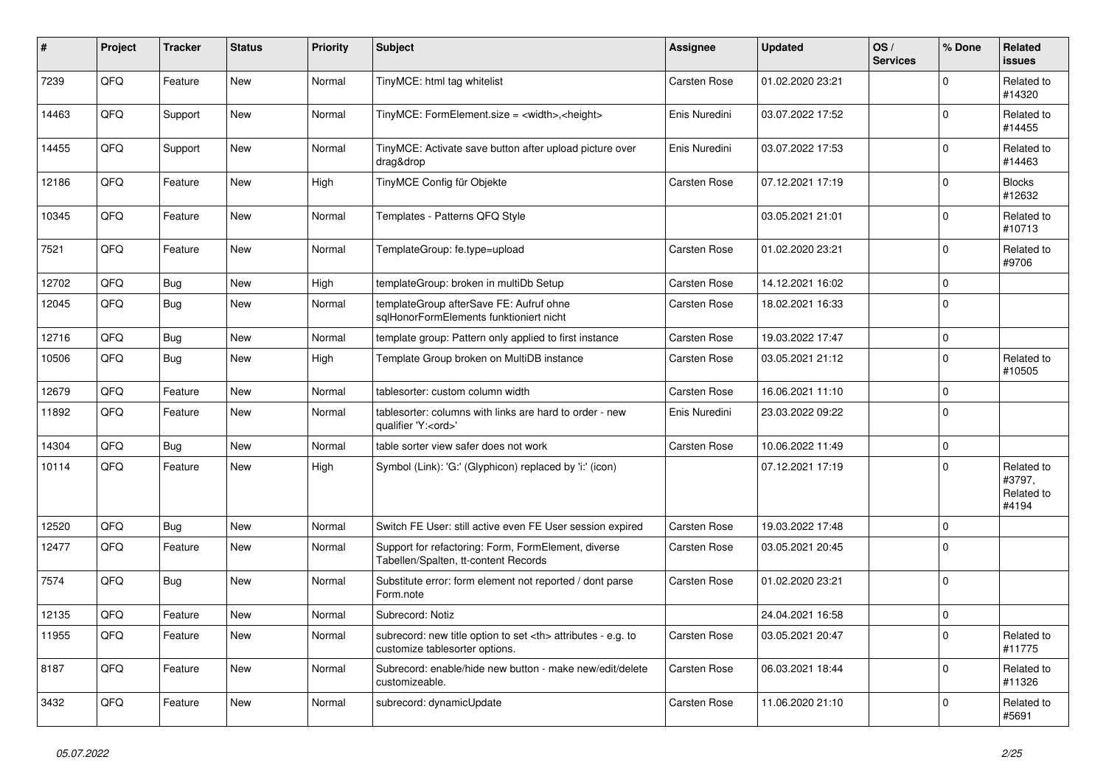| #     | Project | <b>Tracker</b> | <b>Status</b> | <b>Priority</b> | <b>Subject</b>                                                                                       | Assignee                                               | <b>Updated</b>   | OS/<br><b>Services</b> | % Done      | Related<br><b>issues</b>                    |                      |
|-------|---------|----------------|---------------|-----------------|------------------------------------------------------------------------------------------------------|--------------------------------------------------------|------------------|------------------------|-------------|---------------------------------------------|----------------------|
| 7239  | QFQ     | Feature        | <b>New</b>    | Normal          | TinyMCE: html tag whitelist                                                                          | Carsten Rose                                           | 01.02.2020 23:21 |                        | $\Omega$    | Related to<br>#14320                        |                      |
| 14463 | QFQ     | Support        | <b>New</b>    | Normal          | TinyMCE: FormElement.size = <width>,<height></height></width>                                        | Enis Nuredini                                          | 03.07.2022 17:52 |                        | $\mathbf 0$ | Related to<br>#14455                        |                      |
| 14455 | QFQ     | Support        | New           | Normal          | TinyMCE: Activate save button after upload picture over<br>drag&drop                                 | Enis Nuredini                                          | 03.07.2022 17:53 |                        | $\Omega$    | Related to<br>#14463                        |                      |
| 12186 | QFQ     | Feature        | <b>New</b>    | High            | TinyMCE Config für Objekte                                                                           | <b>Carsten Rose</b>                                    | 07.12.2021 17:19 |                        | $\mathbf 0$ | <b>Blocks</b><br>#12632                     |                      |
| 10345 | QFQ     | Feature        | <b>New</b>    | Normal          | Templates - Patterns QFQ Style                                                                       |                                                        | 03.05.2021 21:01 |                        | $\mathbf 0$ | Related to<br>#10713                        |                      |
| 7521  | QFQ     | Feature        | New           | Normal          | TemplateGroup: fe.type=upload                                                                        | Carsten Rose                                           | 01.02.2020 23:21 |                        | $\Omega$    | Related to<br>#9706                         |                      |
| 12702 | QFQ     | Bug            | <b>New</b>    | High            | templateGroup: broken in multiDb Setup                                                               | <b>Carsten Rose</b>                                    | 14.12.2021 16:02 |                        | $\Omega$    |                                             |                      |
| 12045 | QFQ     | Bug            | <b>New</b>    | Normal          | templateGroup afterSave FE: Aufruf ohne<br>salHonorFormElements funktioniert nicht                   | Carsten Rose                                           | 18.02.2021 16:33 |                        | $\Omega$    |                                             |                      |
| 12716 | QFQ     | Bug            | <b>New</b>    | Normal          | template group: Pattern only applied to first instance                                               | Carsten Rose                                           | 19.03.2022 17:47 |                        | $\mathbf 0$ |                                             |                      |
| 10506 | QFQ     | Bug            | New           | High            | Template Group broken on MultiDB instance                                                            | Carsten Rose                                           | 03.05.2021 21:12 |                        | $\mathbf 0$ | Related to<br>#10505                        |                      |
| 12679 | QFQ     | Feature        | <b>New</b>    | Normal          | tablesorter: custom column width                                                                     | <b>Carsten Rose</b>                                    | 16.06.2021 11:10 |                        | $\mathbf 0$ |                                             |                      |
| 11892 | QFQ     | Feature        | <b>New</b>    | Normal          | tablesorter: columns with links are hard to order - new<br>qualifier 'Y: <ord>'</ord>                | Enis Nuredini                                          | 23.03.2022 09:22 |                        | $\mathbf 0$ |                                             |                      |
| 14304 | QFQ     | Bug            | <b>New</b>    | Normal          | table sorter view safer does not work                                                                | Carsten Rose                                           | 10.06.2022 11:49 |                        | $\mathbf 0$ |                                             |                      |
| 10114 | QFQ     | Feature        | <b>New</b>    | High            | Symbol (Link): 'G:' (Glyphicon) replaced by 'i:' (icon)                                              |                                                        | 07.12.2021 17:19 |                        | $\mathbf 0$ | Related to<br>#3797,<br>Related to<br>#4194 |                      |
| 12520 | QFQ     | <b>Bug</b>     | <b>New</b>    | Normal          | Switch FE User: still active even FE User session expired                                            | Carsten Rose                                           | 19.03.2022 17:48 |                        | $\mathbf 0$ |                                             |                      |
| 12477 | QFQ     | Feature        | New           | Normal          | Support for refactoring: Form, FormElement, diverse<br>Tabellen/Spalten, tt-content Records          | Carsten Rose                                           | 03.05.2021 20:45 |                        | $\mathbf 0$ |                                             |                      |
| 7574  | QFQ     | <b>Bug</b>     | <b>New</b>    | Normal          | Substitute error: form element not reported / dont parse<br>Form.note                                | Carsten Rose                                           | 01.02.2020 23:21 |                        | $\mathbf 0$ |                                             |                      |
| 12135 | QFQ     | Feature        | <b>New</b>    | Normal          | Subrecord: Notiz                                                                                     |                                                        | 24.04.2021 16:58 |                        | $\Omega$    |                                             |                      |
| 11955 | QFQ     | Feature        | <b>New</b>    | Normal          | subrecord: new title option to set <th> attributes - e.g. to<br/>customize tablesorter options.</th> | attributes - e.g. to<br>customize tablesorter options. | Carsten Rose     | 03.05.2021 20:47       |             | $\Omega$                                    | Related to<br>#11775 |
| 8187  | QFQ     | Feature        | <b>New</b>    | Normal          | Subrecord: enable/hide new button - make new/edit/delete<br>customizeable.                           | Carsten Rose                                           | 06.03.2021 18:44 |                        | $\Omega$    | Related to<br>#11326                        |                      |
| 3432  | QFQ     | Feature        | <b>New</b>    | Normal          | subrecord: dynamicUpdate                                                                             | Carsten Rose                                           | 11.06.2020 21:10 |                        | $\Omega$    | Related to<br>#5691                         |                      |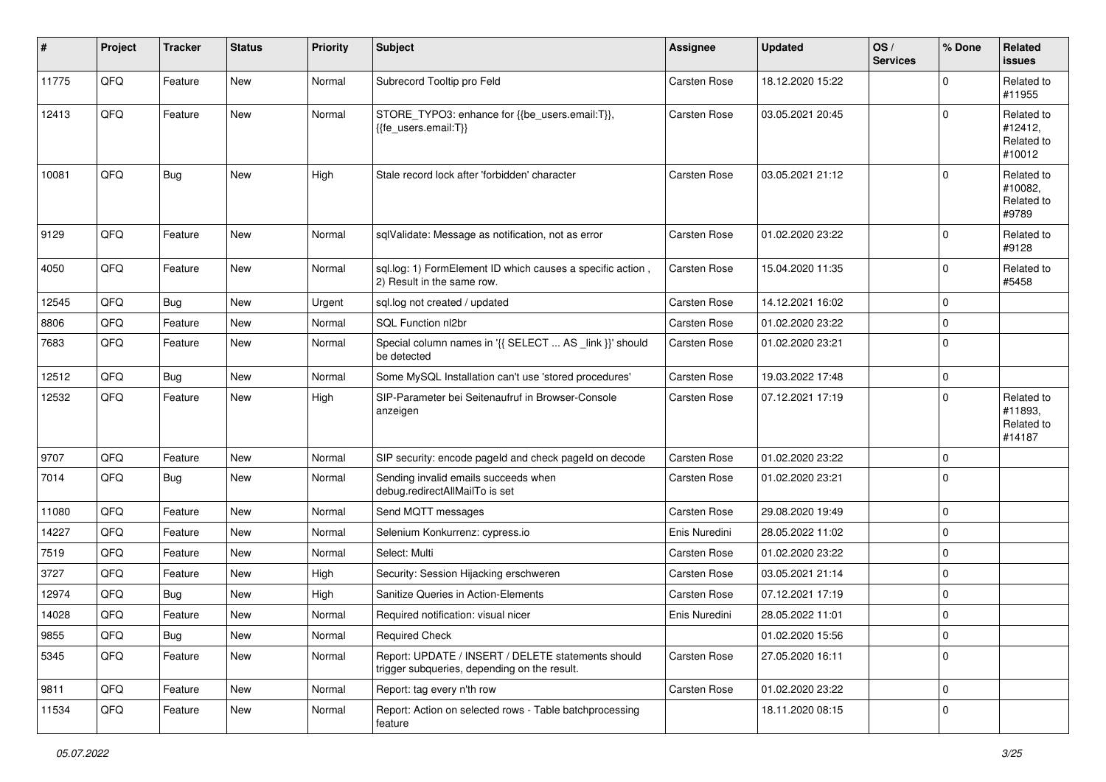| $\vert$ # | Project | <b>Tracker</b> | <b>Status</b> | <b>Priority</b> | <b>Subject</b>                                                                                     | <b>Assignee</b>     | <b>Updated</b>   | OS/<br><b>Services</b> | % Done      | Related<br><b>issues</b>                      |
|-----------|---------|----------------|---------------|-----------------|----------------------------------------------------------------------------------------------------|---------------------|------------------|------------------------|-------------|-----------------------------------------------|
| 11775     | QFQ     | Feature        | <b>New</b>    | Normal          | Subrecord Tooltip pro Feld                                                                         | <b>Carsten Rose</b> | 18.12.2020 15:22 |                        | $\Omega$    | Related to<br>#11955                          |
| 12413     | QFQ     | Feature        | New           | Normal          | STORE_TYPO3: enhance for {{be_users.email:T}},<br>{{fe_users.email:T}}                             | Carsten Rose        | 03.05.2021 20:45 |                        | $\Omega$    | Related to<br>#12412,<br>Related to<br>#10012 |
| 10081     | QFQ     | Bug            | <b>New</b>    | High            | Stale record lock after 'forbidden' character                                                      | <b>Carsten Rose</b> | 03.05.2021 21:12 |                        | $\Omega$    | Related to<br>#10082,<br>Related to<br>#9789  |
| 9129      | QFQ     | Feature        | <b>New</b>    | Normal          | sqlValidate: Message as notification, not as error                                                 | Carsten Rose        | 01.02.2020 23:22 |                        | $\Omega$    | Related to<br>#9128                           |
| 4050      | QFQ     | Feature        | <b>New</b>    | Normal          | sql.log: 1) FormElement ID which causes a specific action,<br>2) Result in the same row.           | Carsten Rose        | 15.04.2020 11:35 |                        | $\mathbf 0$ | Related to<br>#5458                           |
| 12545     | QFQ     | Bug            | <b>New</b>    | Urgent          | sql.log not created / updated                                                                      | Carsten Rose        | 14.12.2021 16:02 |                        | $\mathbf 0$ |                                               |
| 8806      | QFQ     | Feature        | <b>New</b>    | Normal          | SQL Function nl2br                                                                                 | Carsten Rose        | 01.02.2020 23:22 |                        | $\mathbf 0$ |                                               |
| 7683      | QFQ     | Feature        | New           | Normal          | Special column names in '{{ SELECT  AS _link }}' should<br>be detected                             | Carsten Rose        | 01.02.2020 23:21 |                        | $\mathbf 0$ |                                               |
| 12512     | QFQ     | Bug            | New           | Normal          | Some MySQL Installation can't use 'stored procedures'                                              | Carsten Rose        | 19.03.2022 17:48 |                        | $\mathbf 0$ |                                               |
| 12532     | QFQ     | Feature        | New           | High            | SIP-Parameter bei Seitenaufruf in Browser-Console<br>anzeigen                                      | Carsten Rose        | 07.12.2021 17:19 |                        | $\mathbf 0$ | Related to<br>#11893.<br>Related to<br>#14187 |
| 9707      | QFQ     | Feature        | New           | Normal          | SIP security: encode pageld and check pageld on decode                                             | Carsten Rose        | 01.02.2020 23:22 |                        | $\mathbf 0$ |                                               |
| 7014      | QFQ     | <b>Bug</b>     | New           | Normal          | Sending invalid emails succeeds when<br>debug.redirectAllMailTo is set                             | Carsten Rose        | 01.02.2020 23:21 |                        | $\mathbf 0$ |                                               |
| 11080     | QFQ     | Feature        | New           | Normal          | Send MQTT messages                                                                                 | Carsten Rose        | 29.08.2020 19:49 |                        | $\mathbf 0$ |                                               |
| 14227     | QFQ     | Feature        | New           | Normal          | Selenium Konkurrenz: cypress.io                                                                    | Enis Nuredini       | 28.05.2022 11:02 |                        | $\mathbf 0$ |                                               |
| 7519      | QFQ     | Feature        | <b>New</b>    | Normal          | Select: Multi                                                                                      | Carsten Rose        | 01.02.2020 23:22 |                        | $\mathbf 0$ |                                               |
| 3727      | QFQ     | Feature        | <b>New</b>    | High            | Security: Session Hijacking erschweren                                                             | Carsten Rose        | 03.05.2021 21:14 |                        | $\mathbf 0$ |                                               |
| 12974     | QFQ     | <b>Bug</b>     | <b>New</b>    | High            | Sanitize Queries in Action-Elements                                                                | Carsten Rose        | 07.12.2021 17:19 |                        | $\mathbf 0$ |                                               |
| 14028     | QFQ     | Feature        | New           | Normal          | Required notification: visual nicer                                                                | Enis Nuredini       | 28.05.2022 11:01 |                        | $\mathbf 0$ |                                               |
| 9855      | QFG     | <b>Bug</b>     | New           | Normal          | <b>Required Check</b>                                                                              |                     | 01.02.2020 15:56 |                        | $\mathbf 0$ |                                               |
| 5345      | QFQ     | Feature        | New           | Normal          | Report: UPDATE / INSERT / DELETE statements should<br>trigger subqueries, depending on the result. | Carsten Rose        | 27.05.2020 16:11 |                        | $\mathbf 0$ |                                               |
| 9811      | QFQ     | Feature        | New           | Normal          | Report: tag every n'th row                                                                         | Carsten Rose        | 01.02.2020 23:22 |                        | $\mathbf 0$ |                                               |
| 11534     | QFQ     | Feature        | New           | Normal          | Report: Action on selected rows - Table batchprocessing<br>feature                                 |                     | 18.11.2020 08:15 |                        | $\mathbf 0$ |                                               |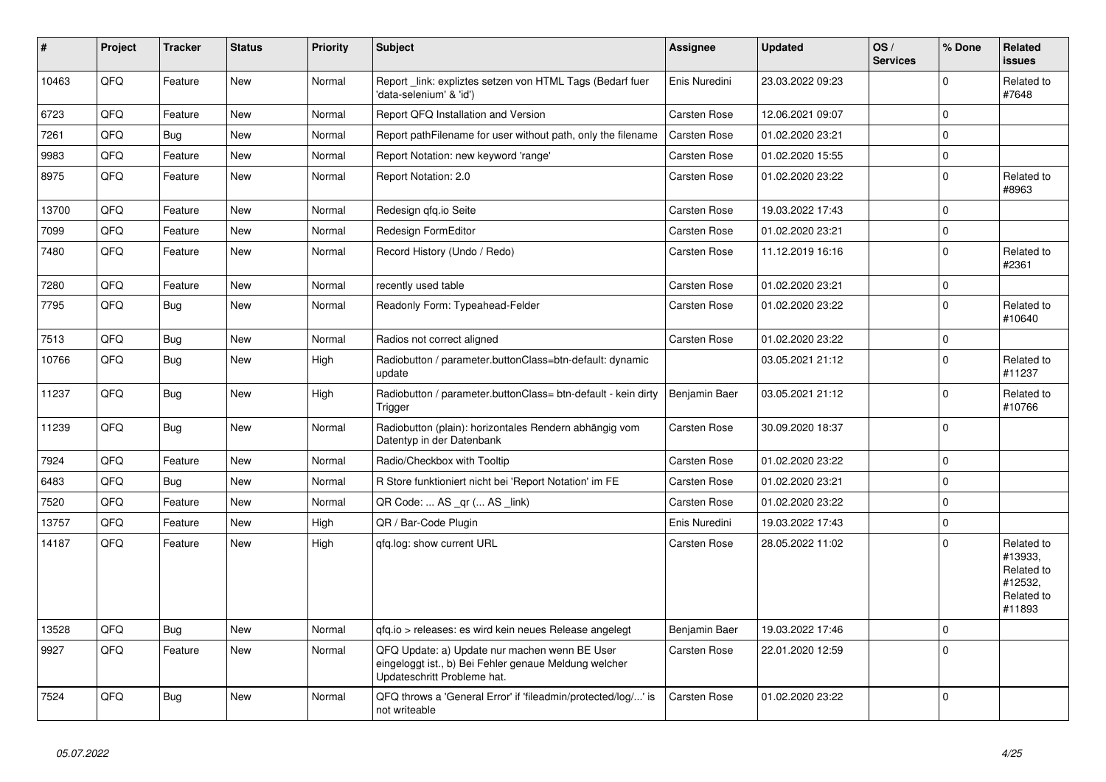| #     | Project | <b>Tracker</b> | <b>Status</b> | <b>Priority</b> | <b>Subject</b>                                                                                                                        | Assignee            | <b>Updated</b>   | OS/<br><b>Services</b> | % Done      | Related<br><b>issues</b>                                               |
|-------|---------|----------------|---------------|-----------------|---------------------------------------------------------------------------------------------------------------------------------------|---------------------|------------------|------------------------|-------------|------------------------------------------------------------------------|
| 10463 | QFQ     | Feature        | <b>New</b>    | Normal          | Report_link: expliztes setzen von HTML Tags (Bedarf fuer<br>'data-selenium' & 'id')                                                   | Enis Nuredini       | 23.03.2022 09:23 |                        | $\Omega$    | Related to<br>#7648                                                    |
| 6723  | QFQ     | Feature        | <b>New</b>    | Normal          | Report QFQ Installation and Version                                                                                                   | Carsten Rose        | 12.06.2021 09:07 |                        | $\mathbf 0$ |                                                                        |
| 7261  | QFQ     | <b>Bug</b>     | <b>New</b>    | Normal          | Report pathFilename for user without path, only the filename                                                                          | <b>Carsten Rose</b> | 01.02.2020 23:21 |                        | $\Omega$    |                                                                        |
| 9983  | QFQ     | Feature        | <b>New</b>    | Normal          | Report Notation: new keyword 'range'                                                                                                  | Carsten Rose        | 01.02.2020 15:55 |                        | $\Omega$    |                                                                        |
| 8975  | QFQ     | Feature        | <b>New</b>    | Normal          | Report Notation: 2.0                                                                                                                  | Carsten Rose        | 01.02.2020 23:22 |                        | $\mathbf 0$ | Related to<br>#8963                                                    |
| 13700 | QFQ     | Feature        | <b>New</b>    | Normal          | Redesign qfq.io Seite                                                                                                                 | Carsten Rose        | 19.03.2022 17:43 |                        | $\Omega$    |                                                                        |
| 7099  | QFQ     | Feature        | <b>New</b>    | Normal          | Redesign FormEditor                                                                                                                   | Carsten Rose        | 01.02.2020 23:21 |                        | $\mathbf 0$ |                                                                        |
| 7480  | QFQ     | Feature        | <b>New</b>    | Normal          | Record History (Undo / Redo)                                                                                                          | Carsten Rose        | 11.12.2019 16:16 |                        | $\Omega$    | Related to<br>#2361                                                    |
| 7280  | QFQ     | Feature        | <b>New</b>    | Normal          | recently used table                                                                                                                   | Carsten Rose        | 01.02.2020 23:21 |                        | $\mathbf 0$ |                                                                        |
| 7795  | QFQ     | Bug            | <b>New</b>    | Normal          | Readonly Form: Typeahead-Felder                                                                                                       | Carsten Rose        | 01.02.2020 23:22 |                        | $\mathbf 0$ | Related to<br>#10640                                                   |
| 7513  | QFQ     | Bug            | <b>New</b>    | Normal          | Radios not correct aligned                                                                                                            | Carsten Rose        | 01.02.2020 23:22 |                        | $\mathbf 0$ |                                                                        |
| 10766 | QFQ     | Bug            | <b>New</b>    | High            | Radiobutton / parameter.buttonClass=btn-default: dynamic<br>update                                                                    |                     | 03.05.2021 21:12 |                        | $\mathbf 0$ | Related to<br>#11237                                                   |
| 11237 | QFQ     | Bug            | <b>New</b>    | High            | Radiobutton / parameter.buttonClass= btn-default - kein dirty<br>Trigger                                                              | Benjamin Baer       | 03.05.2021 21:12 |                        | $\Omega$    | Related to<br>#10766                                                   |
| 11239 | QFQ     | Bug            | <b>New</b>    | Normal          | Radiobutton (plain): horizontales Rendern abhängig vom<br>Datentyp in der Datenbank                                                   | <b>Carsten Rose</b> | 30.09.2020 18:37 |                        | $\Omega$    |                                                                        |
| 7924  | QFQ     | Feature        | <b>New</b>    | Normal          | Radio/Checkbox with Tooltip                                                                                                           | Carsten Rose        | 01.02.2020 23:22 |                        | $\mathbf 0$ |                                                                        |
| 6483  | QFQ     | <b>Bug</b>     | <b>New</b>    | Normal          | R Store funktioniert nicht bei 'Report Notation' im FE                                                                                | <b>Carsten Rose</b> | 01.02.2020 23:21 |                        | $\Omega$    |                                                                        |
| 7520  | QFQ     | Feature        | <b>New</b>    | Normal          | QR Code:  AS _qr ( AS _link)                                                                                                          | Carsten Rose        | 01.02.2020 23:22 |                        | $\Omega$    |                                                                        |
| 13757 | QFQ     | Feature        | New           | High            | QR / Bar-Code Plugin                                                                                                                  | Enis Nuredini       | 19.03.2022 17:43 |                        | $\mathbf 0$ |                                                                        |
| 14187 | QFQ     | Feature        | New           | High            | qfq.log: show current URL                                                                                                             | Carsten Rose        | 28.05.2022 11:02 |                        | $\Omega$    | Related to<br>#13933.<br>Related to<br>#12532,<br>Related to<br>#11893 |
| 13528 | QFQ     | Bug            | <b>New</b>    | Normal          | qfq.io > releases: es wird kein neues Release angelegt                                                                                | Benjamin Baer       | 19.03.2022 17:46 |                        | $\Omega$    |                                                                        |
| 9927  | QFQ     | Feature        | <b>New</b>    | Normal          | QFQ Update: a) Update nur machen wenn BE User<br>eingeloggt ist., b) Bei Fehler genaue Meldung welcher<br>Updateschritt Probleme hat. | Carsten Rose        | 22.01.2020 12:59 |                        | $\Omega$    |                                                                        |
| 7524  | QFQ     | Bug            | <b>New</b>    | Normal          | QFQ throws a 'General Error' if 'fileadmin/protected/log/' is<br>not writeable                                                        | <b>Carsten Rose</b> | 01.02.2020 23:22 |                        | $\Omega$    |                                                                        |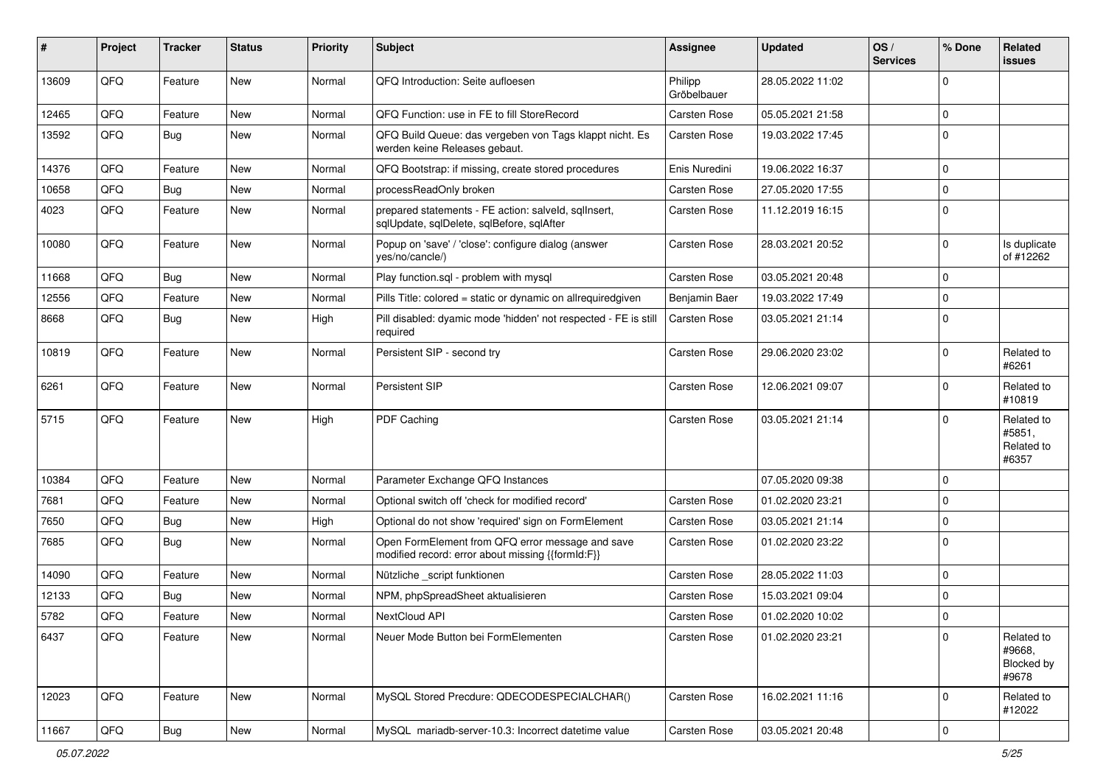| #     | Project | <b>Tracker</b> | <b>Status</b> | <b>Priority</b> | Subject                                                                                               | <b>Assignee</b>        | <b>Updated</b>   | OS/<br><b>Services</b> | % Done      | Related<br><b>issues</b>                    |
|-------|---------|----------------|---------------|-----------------|-------------------------------------------------------------------------------------------------------|------------------------|------------------|------------------------|-------------|---------------------------------------------|
| 13609 | QFQ     | Feature        | <b>New</b>    | Normal          | QFQ Introduction: Seite aufloesen                                                                     | Philipp<br>Gröbelbauer | 28.05.2022 11:02 |                        | $\Omega$    |                                             |
| 12465 | QFQ     | Feature        | New           | Normal          | QFQ Function: use in FE to fill StoreRecord                                                           | <b>Carsten Rose</b>    | 05.05.2021 21:58 |                        | $\Omega$    |                                             |
| 13592 | QFQ     | Bug            | New           | Normal          | QFQ Build Queue: das vergeben von Tags klappt nicht. Es<br>werden keine Releases gebaut.              | <b>Carsten Rose</b>    | 19.03.2022 17:45 |                        | $\Omega$    |                                             |
| 14376 | QFQ     | Feature        | New           | Normal          | QFQ Bootstrap: if missing, create stored procedures                                                   | Enis Nuredini          | 19.06.2022 16:37 |                        | $\Omega$    |                                             |
| 10658 | QFQ     | <b>Bug</b>     | <b>New</b>    | Normal          | processReadOnly broken                                                                                | <b>Carsten Rose</b>    | 27.05.2020 17:55 |                        | $\mathbf 0$ |                                             |
| 4023  | QFQ     | Feature        | New           | Normal          | prepared statements - FE action: salveld, sqlInsert,<br>sqlUpdate, sqlDelete, sqlBefore, sqlAfter     | Carsten Rose           | 11.12.2019 16:15 |                        | $\Omega$    |                                             |
| 10080 | QFQ     | Feature        | <b>New</b>    | Normal          | Popup on 'save' / 'close': configure dialog (answer<br>yes/no/cancle/)                                | Carsten Rose           | 28.03.2021 20:52 |                        | $\Omega$    | Is duplicate<br>of #12262                   |
| 11668 | QFQ     | Bug            | <b>New</b>    | Normal          | Play function.sql - problem with mysql                                                                | <b>Carsten Rose</b>    | 03.05.2021 20:48 |                        | $\mathbf 0$ |                                             |
| 12556 | QFQ     | Feature        | <b>New</b>    | Normal          | Pills Title: colored = static or dynamic on allrequiredgiven                                          | Benjamin Baer          | 19.03.2022 17:49 |                        | 0           |                                             |
| 8668  | QFQ     | Bug            | New           | High            | Pill disabled: dyamic mode 'hidden' not respected - FE is still<br>required                           | Carsten Rose           | 03.05.2021 21:14 |                        | $\mathbf 0$ |                                             |
| 10819 | QFQ     | Feature        | <b>New</b>    | Normal          | Persistent SIP - second try                                                                           | Carsten Rose           | 29.06.2020 23:02 |                        | $\Omega$    | Related to<br>#6261                         |
| 6261  | QFQ     | Feature        | <b>New</b>    | Normal          | Persistent SIP                                                                                        | Carsten Rose           | 12.06.2021 09:07 |                        | $\mathbf 0$ | Related to<br>#10819                        |
| 5715  | QFQ     | Feature        | <b>New</b>    | High            | PDF Caching                                                                                           | Carsten Rose           | 03.05.2021 21:14 |                        | $\Omega$    | Related to<br>#5851,<br>Related to<br>#6357 |
| 10384 | QFQ     | Feature        | <b>New</b>    | Normal          | Parameter Exchange QFQ Instances                                                                      |                        | 07.05.2020 09:38 |                        | $\mathbf 0$ |                                             |
| 7681  | QFQ     | Feature        | New           | Normal          | Optional switch off 'check for modified record'                                                       | Carsten Rose           | 01.02.2020 23:21 |                        | $\Omega$    |                                             |
| 7650  | QFQ     | <b>Bug</b>     | <b>New</b>    | High            | Optional do not show 'required' sign on FormElement                                                   | <b>Carsten Rose</b>    | 03.05.2021 21:14 |                        | $\mathbf 0$ |                                             |
| 7685  | QFQ     | Bug            | New           | Normal          | Open FormElement from QFQ error message and save<br>modified record: error about missing {{formId:F}} | <b>Carsten Rose</b>    | 01.02.2020 23:22 |                        | $\Omega$    |                                             |
| 14090 | QFQ     | Feature        | <b>New</b>    | Normal          | Nützliche _script funktionen                                                                          | Carsten Rose           | 28.05.2022 11:03 |                        | $\mathbf 0$ |                                             |
| 12133 | QFQ     | <b>Bug</b>     | <b>New</b>    | Normal          | NPM, phpSpreadSheet aktualisieren                                                                     | <b>Carsten Rose</b>    | 15.03.2021 09:04 |                        | $\Omega$    |                                             |
| 5782  | QFQ     | Feature        | New           | Normal          | NextCloud API                                                                                         | Carsten Rose           | 01.02.2020 10:02 |                        | $\mathbf 0$ |                                             |
| 6437  | QFQ     | Feature        | New           | Normal          | Neuer Mode Button bei FormElementen                                                                   | <b>Carsten Rose</b>    | 01.02.2020 23:21 |                        | $\mathbf 0$ | Related to<br>#9668,<br>Blocked by<br>#9678 |
| 12023 | QFQ     | Feature        | New           | Normal          | MySQL Stored Precdure: QDECODESPECIALCHAR()                                                           | Carsten Rose           | 16.02.2021 11:16 |                        | 0           | Related to<br>#12022                        |
| 11667 | QFG     | Bug            | New           | Normal          | MySQL mariadb-server-10.3: Incorrect datetime value                                                   | Carsten Rose           | 03.05.2021 20:48 |                        | $\mathsf 0$ |                                             |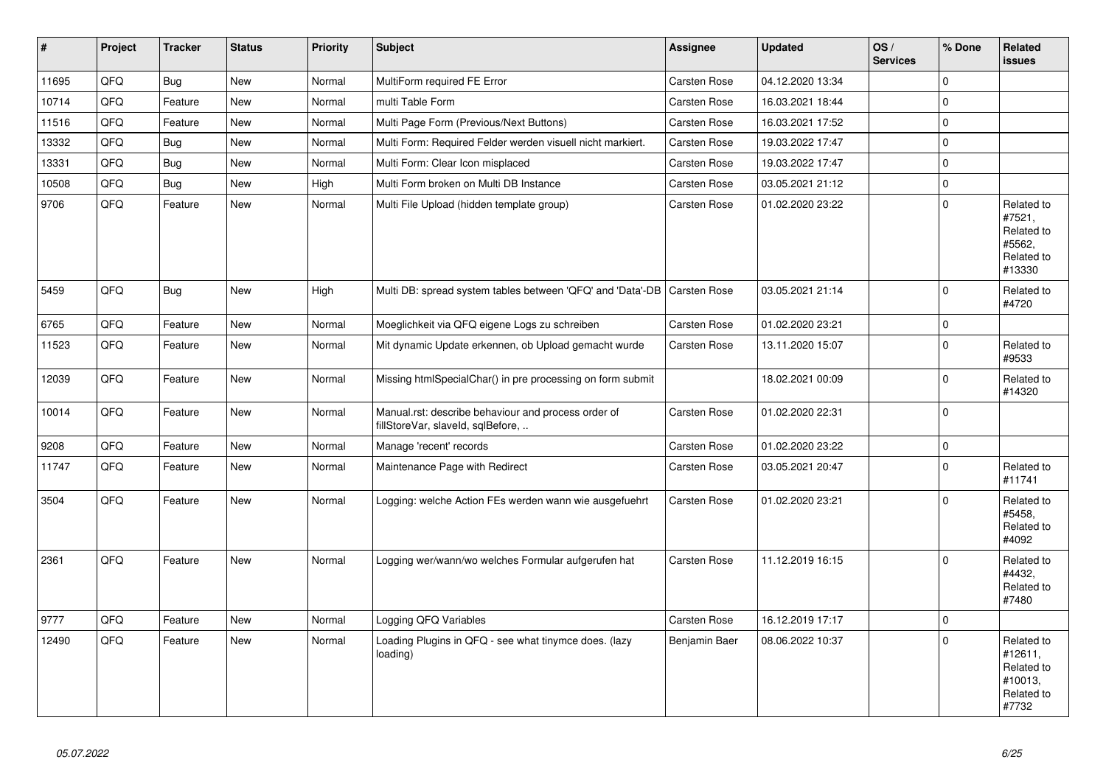| #     | <b>Project</b> | <b>Tracker</b> | <b>Status</b> | <b>Priority</b> | <b>Subject</b>                                                                           | <b>Assignee</b>     | <b>Updated</b>   | OS/<br><b>Services</b> | % Done      | Related<br><b>issues</b>                                              |
|-------|----------------|----------------|---------------|-----------------|------------------------------------------------------------------------------------------|---------------------|------------------|------------------------|-------------|-----------------------------------------------------------------------|
| 11695 | QFQ            | Bug            | New           | Normal          | MultiForm required FE Error                                                              | Carsten Rose        | 04.12.2020 13:34 |                        | $\Omega$    |                                                                       |
| 10714 | QFQ            | Feature        | New           | Normal          | multi Table Form                                                                         | Carsten Rose        | 16.03.2021 18:44 |                        | $\Omega$    |                                                                       |
| 11516 | QFQ            | Feature        | <b>New</b>    | Normal          | Multi Page Form (Previous/Next Buttons)                                                  | Carsten Rose        | 16.03.2021 17:52 |                        | $\mathbf 0$ |                                                                       |
| 13332 | QFQ            | <b>Bug</b>     | <b>New</b>    | Normal          | Multi Form: Required Felder werden visuell nicht markiert.                               | Carsten Rose        | 19.03.2022 17:47 |                        | $\mathbf 0$ |                                                                       |
| 13331 | QFQ            | Bug            | <b>New</b>    | Normal          | Multi Form: Clear Icon misplaced                                                         | Carsten Rose        | 19.03.2022 17:47 |                        | $\mathbf 0$ |                                                                       |
| 10508 | QFQ            | Bug            | <b>New</b>    | High            | Multi Form broken on Multi DB Instance                                                   | Carsten Rose        | 03.05.2021 21:12 |                        | $\pmb{0}$   |                                                                       |
| 9706  | QFQ            | Feature        | <b>New</b>    | Normal          | Multi File Upload (hidden template group)                                                | Carsten Rose        | 01.02.2020 23:22 |                        | $\Omega$    | Related to<br>#7521,<br>Related to<br>#5562,<br>Related to<br>#13330  |
| 5459  | QFQ            | Bug            | <b>New</b>    | High            | Multi DB: spread system tables between 'QFQ' and 'Data'-DB   Carsten Rose                |                     | 03.05.2021 21:14 |                        | $\Omega$    | Related to<br>#4720                                                   |
| 6765  | QFQ            | Feature        | <b>New</b>    | Normal          | Moeglichkeit via QFQ eigene Logs zu schreiben                                            | <b>Carsten Rose</b> | 01.02.2020 23:21 |                        | $\mathbf 0$ |                                                                       |
| 11523 | QFQ            | Feature        | New           | Normal          | Mit dynamic Update erkennen, ob Upload gemacht wurde                                     | Carsten Rose        | 13.11.2020 15:07 |                        | $\Omega$    | Related to<br>#9533                                                   |
| 12039 | QFQ            | Feature        | <b>New</b>    | Normal          | Missing htmlSpecialChar() in pre processing on form submit                               |                     | 18.02.2021 00:09 |                        | $\mathbf 0$ | Related to<br>#14320                                                  |
| 10014 | QFQ            | Feature        | New           | Normal          | Manual.rst: describe behaviour and process order of<br>fillStoreVar, slaveId, sqlBefore, | Carsten Rose        | 01.02.2020 22:31 |                        | $\mathbf 0$ |                                                                       |
| 9208  | QFQ            | Feature        | <b>New</b>    | Normal          | Manage 'recent' records                                                                  | Carsten Rose        | 01.02.2020 23:22 |                        | $\mathbf 0$ |                                                                       |
| 11747 | QFQ            | Feature        | <b>New</b>    | Normal          | Maintenance Page with Redirect                                                           | Carsten Rose        | 03.05.2021 20:47 |                        | $\mathbf 0$ | Related to<br>#11741                                                  |
| 3504  | QFQ            | Feature        | <b>New</b>    | Normal          | Logging: welche Action FEs werden wann wie ausgefuehrt                                   | Carsten Rose        | 01.02.2020 23:21 |                        | $\Omega$    | Related to<br>#5458.<br>Related to<br>#4092                           |
| 2361  | QFQ            | Feature        | New           | Normal          | Logging wer/wann/wo welches Formular aufgerufen hat                                      | Carsten Rose        | 11.12.2019 16:15 |                        | $\mathbf 0$ | Related to<br>#4432,<br>Related to<br>#7480                           |
| 9777  | QFQ            | Feature        | <b>New</b>    | Normal          | Logging QFQ Variables                                                                    | Carsten Rose        | 16.12.2019 17:17 |                        | $\mathbf 0$ |                                                                       |
| 12490 | QFQ            | Feature        | New           | Normal          | Loading Plugins in QFQ - see what tinymce does. (lazy<br>loading)                        | Benjamin Baer       | 08.06.2022 10:37 |                        | $\Omega$    | Related to<br>#12611,<br>Related to<br>#10013,<br>Related to<br>#7732 |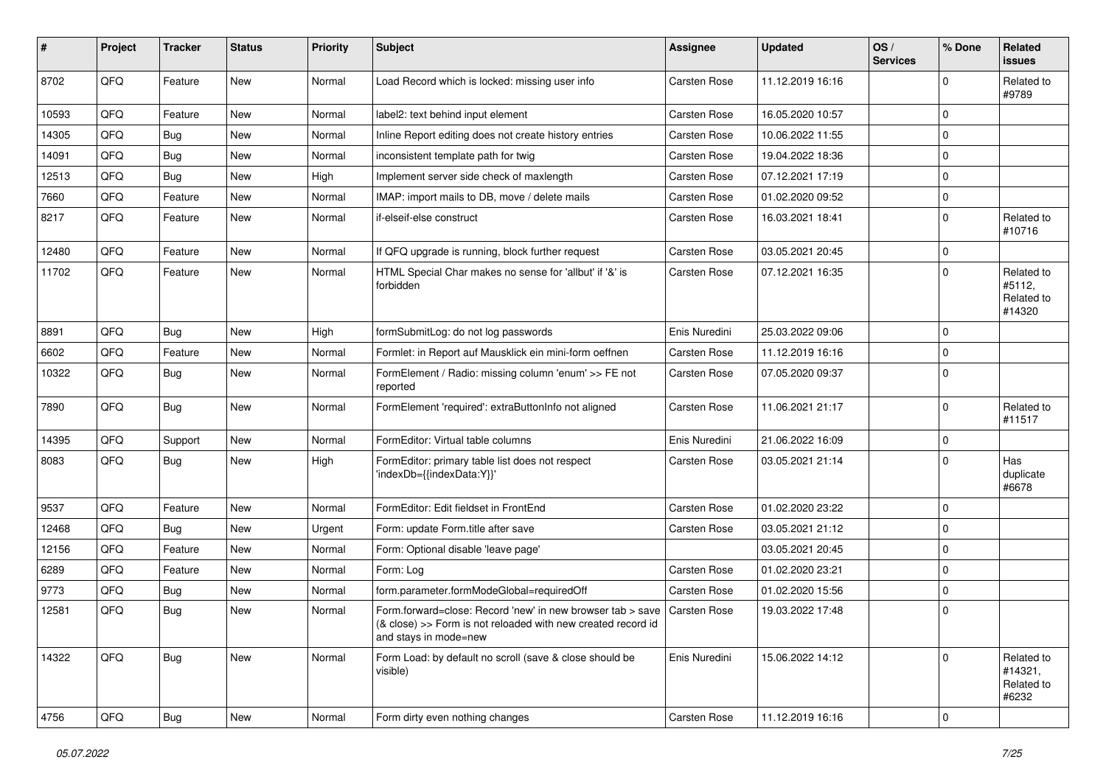| #     | Project | <b>Tracker</b> | <b>Status</b> | <b>Priority</b> | <b>Subject</b>                                                                                                                                                     | <b>Assignee</b> | <b>Updated</b>   | OS/<br><b>Services</b> | % Done              | Related<br><b>issues</b>                     |
|-------|---------|----------------|---------------|-----------------|--------------------------------------------------------------------------------------------------------------------------------------------------------------------|-----------------|------------------|------------------------|---------------------|----------------------------------------------|
| 8702  | QFQ     | Feature        | New           | Normal          | Load Record which is locked: missing user info                                                                                                                     | Carsten Rose    | 11.12.2019 16:16 |                        | 0                   | Related to<br>#9789                          |
| 10593 | QFQ     | Feature        | New           | Normal          | label2: text behind input element                                                                                                                                  | Carsten Rose    | 16.05.2020 10:57 |                        | $\Omega$            |                                              |
| 14305 | QFQ     | Bug            | <b>New</b>    | Normal          | Inline Report editing does not create history entries                                                                                                              | Carsten Rose    | 10.06.2022 11:55 |                        | 0                   |                                              |
| 14091 | QFQ     | Bug            | <b>New</b>    | Normal          | inconsistent template path for twig                                                                                                                                | Carsten Rose    | 19.04.2022 18:36 |                        | 0                   |                                              |
| 12513 | QFQ     | <b>Bug</b>     | <b>New</b>    | High            | Implement server side check of maxlength                                                                                                                           | Carsten Rose    | 07.12.2021 17:19 |                        | $\Omega$            |                                              |
| 7660  | QFQ     | Feature        | <b>New</b>    | Normal          | IMAP: import mails to DB, move / delete mails                                                                                                                      | Carsten Rose    | 01.02.2020 09:52 |                        | $\mathbf 0$         |                                              |
| 8217  | QFQ     | Feature        | New           | Normal          | if-elseif-else construct                                                                                                                                           | Carsten Rose    | 16.03.2021 18:41 |                        | $\Omega$            | Related to<br>#10716                         |
| 12480 | QFQ     | Feature        | <b>New</b>    | Normal          | If QFQ upgrade is running, block further request                                                                                                                   | Carsten Rose    | 03.05.2021 20:45 |                        | $\Omega$            |                                              |
| 11702 | QFQ     | Feature        | New           | Normal          | HTML Special Char makes no sense for 'allbut' if '&' is<br>forbidden                                                                                               | Carsten Rose    | 07.12.2021 16:35 |                        | $\Omega$            | Related to<br>#5112,<br>Related to<br>#14320 |
| 8891  | QFQ     | Bug            | <b>New</b>    | High            | formSubmitLog: do not log passwords                                                                                                                                | Enis Nuredini   | 25.03.2022 09:06 |                        | $\Omega$            |                                              |
| 6602  | QFQ     | Feature        | <b>New</b>    | Normal          | Formlet: in Report auf Mausklick ein mini-form oeffnen                                                                                                             | Carsten Rose    | 11.12.2019 16:16 |                        | 0                   |                                              |
| 10322 | QFQ     | <b>Bug</b>     | New           | Normal          | FormElement / Radio: missing column 'enum' >> FE not<br>reported                                                                                                   | Carsten Rose    | 07.05.2020 09:37 |                        | $\Omega$            |                                              |
| 7890  | QFQ     | Bug            | <b>New</b>    | Normal          | FormElement 'required': extraButtonInfo not aligned                                                                                                                | Carsten Rose    | 11.06.2021 21:17 |                        | 0                   | Related to<br>#11517                         |
| 14395 | QFQ     | Support        | <b>New</b>    | Normal          | FormEditor: Virtual table columns                                                                                                                                  | Enis Nuredini   | 21.06.2022 16:09 |                        | $\mathbf 0$         |                                              |
| 8083  | QFQ     | Bug            | New           | High            | FormEditor: primary table list does not respect<br>'indexDb={{indexData:Y}}'                                                                                       | Carsten Rose    | 03.05.2021 21:14 |                        | $\Omega$            | Has<br>duplicate<br>#6678                    |
| 9537  | QFQ     | Feature        | <b>New</b>    | Normal          | FormEditor: Edit fieldset in FrontEnd                                                                                                                              | Carsten Rose    | 01.02.2020 23:22 |                        | $\mathbf 0$         |                                              |
| 12468 | QFQ     | <b>Bug</b>     | New           | Urgent          | Form: update Form.title after save                                                                                                                                 | Carsten Rose    | 03.05.2021 21:12 |                        | $\mathbf 0$         |                                              |
| 12156 | QFQ     | Feature        | New           | Normal          | Form: Optional disable 'leave page'                                                                                                                                |                 | 03.05.2021 20:45 |                        | 0                   |                                              |
| 6289  | QFQ     | Feature        | New           | Normal          | Form: Log                                                                                                                                                          | Carsten Rose    | 01.02.2020 23:21 |                        | $\Omega$            |                                              |
| 9773  | QFQ     | <b>Bug</b>     | New           | Normal          | form.parameter.formModeGlobal=requiredOff                                                                                                                          | Carsten Rose    | 01.02.2020 15:56 |                        | 0                   |                                              |
| 12581 | QFQ     | <b>Bug</b>     | New           | Normal          | Form.forward=close: Record 'new' in new browser tab > save   Carsten Rose<br>(& close) >> Form is not reloaded with new created record id<br>and stays in mode=new |                 | 19.03.2022 17:48 |                        | $\Omega$            |                                              |
| 14322 | QFQ     | <b>Bug</b>     | New           | Normal          | Form Load: by default no scroll (save & close should be<br>visible)                                                                                                | Enis Nuredini   | 15.06.2022 14:12 |                        | 0                   | Related to<br>#14321,<br>Related to<br>#6232 |
| 4756  | QFQ     | Bug            | New           | Normal          | Form dirty even nothing changes                                                                                                                                    | Carsten Rose    | 11.12.2019 16:16 |                        | $\mathsf{O}\xspace$ |                                              |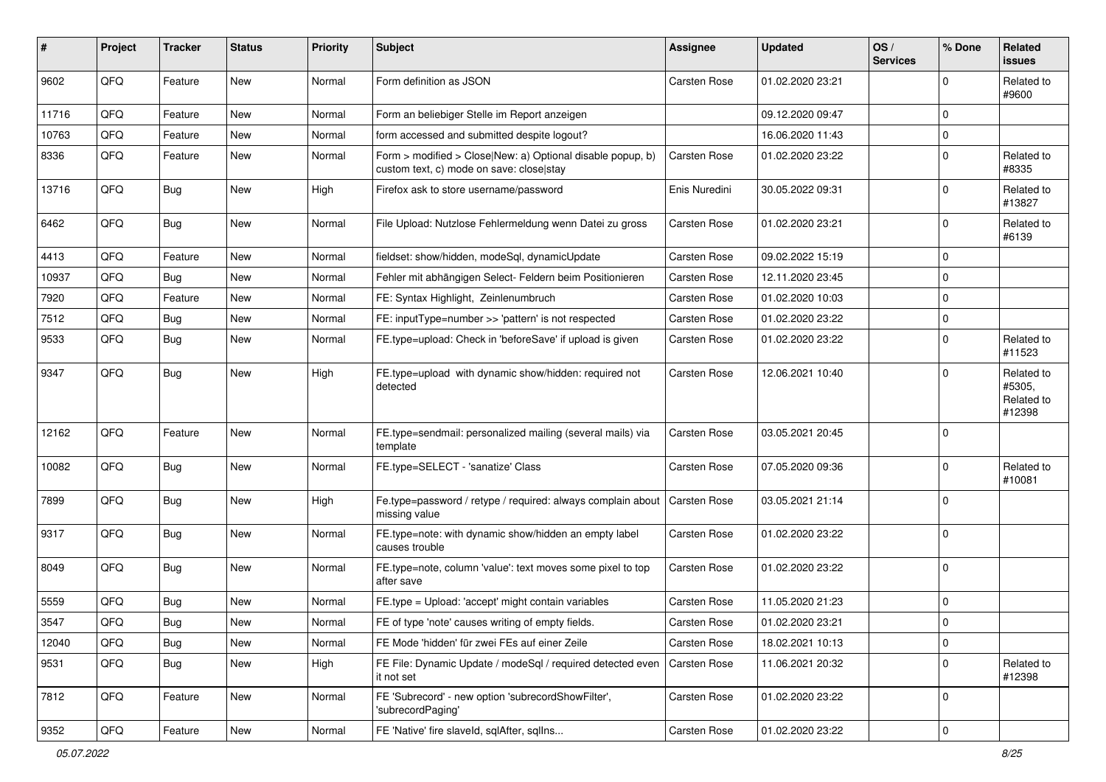| #     | Project | <b>Tracker</b> | <b>Status</b> | <b>Priority</b> | <b>Subject</b>                                                                                         | <b>Assignee</b>     | <b>Updated</b>   | OS/<br><b>Services</b> | % Done      | Related<br><b>issues</b>                     |
|-------|---------|----------------|---------------|-----------------|--------------------------------------------------------------------------------------------------------|---------------------|------------------|------------------------|-------------|----------------------------------------------|
| 9602  | QFQ     | Feature        | New           | Normal          | Form definition as JSON                                                                                | <b>Carsten Rose</b> | 01.02.2020 23:21 |                        | O           | Related to<br>#9600                          |
| 11716 | QFQ     | Feature        | New           | Normal          | Form an beliebiger Stelle im Report anzeigen                                                           |                     | 09.12.2020 09:47 |                        | $\mathbf 0$ |                                              |
| 10763 | QFQ     | Feature        | New           | Normal          | form accessed and submitted despite logout?                                                            |                     | 16.06.2020 11:43 |                        | $\mathbf 0$ |                                              |
| 8336  | QFQ     | Feature        | New           | Normal          | Form > modified > Close New: a) Optional disable popup, b)<br>custom text, c) mode on save: close stay | Carsten Rose        | 01.02.2020 23:22 |                        | $\Omega$    | Related to<br>#8335                          |
| 13716 | QFQ     | Bug            | New           | High            | Firefox ask to store username/password                                                                 | Enis Nuredini       | 30.05.2022 09:31 |                        | $\Omega$    | Related to<br>#13827                         |
| 6462  | QFQ     | <b>Bug</b>     | New           | Normal          | File Upload: Nutzlose Fehlermeldung wenn Datei zu gross                                                | Carsten Rose        | 01.02.2020 23:21 |                        | $\mathbf 0$ | Related to<br>#6139                          |
| 4413  | QFQ     | Feature        | New           | Normal          | fieldset: show/hidden, modeSql, dynamicUpdate                                                          | Carsten Rose        | 09.02.2022 15:19 |                        | $\Omega$    |                                              |
| 10937 | QFQ     | Bug            | New           | Normal          | Fehler mit abhängigen Select- Feldern beim Positionieren                                               | <b>Carsten Rose</b> | 12.11.2020 23:45 |                        | $\Omega$    |                                              |
| 7920  | QFQ     | Feature        | New           | Normal          | FE: Syntax Highlight, Zeinlenumbruch                                                                   | Carsten Rose        | 01.02.2020 10:03 |                        | $\Omega$    |                                              |
| 7512  | QFQ     | <b>Bug</b>     | <b>New</b>    | Normal          | FE: inputType=number >> 'pattern' is not respected                                                     | Carsten Rose        | 01.02.2020 23:22 |                        | $\mathbf 0$ |                                              |
| 9533  | QFQ     | <b>Bug</b>     | New           | Normal          | FE.type=upload: Check in 'beforeSave' if upload is given                                               | Carsten Rose        | 01.02.2020 23:22 |                        | $\Omega$    | Related to<br>#11523                         |
| 9347  | QFQ     | <b>Bug</b>     | New           | High            | FE.type=upload with dynamic show/hidden: required not<br>detected                                      | Carsten Rose        | 12.06.2021 10:40 |                        | $\Omega$    | Related to<br>#5305,<br>Related to<br>#12398 |
| 12162 | QFQ     | Feature        | New           | Normal          | FE.type=sendmail: personalized mailing (several mails) via<br>template                                 | <b>Carsten Rose</b> | 03.05.2021 20:45 |                        | $\Omega$    |                                              |
| 10082 | QFQ     | Bug            | New           | Normal          | FE.type=SELECT - 'sanatize' Class                                                                      | Carsten Rose        | 07.05.2020 09:36 |                        | $\Omega$    | Related to<br>#10081                         |
| 7899  | QFQ     | Bug            | <b>New</b>    | High            | Fe.type=password / retype / required: always complain about   Carsten Rose<br>missing value            |                     | 03.05.2021 21:14 |                        | $\Omega$    |                                              |
| 9317  | QFQ     | Bug            | New           | Normal          | FE.type=note: with dynamic show/hidden an empty label<br>causes trouble                                | <b>Carsten Rose</b> | 01.02.2020 23:22 |                        | $\Omega$    |                                              |
| 8049  | QFQ     | <b>Bug</b>     | New           | Normal          | FE.type=note, column 'value': text moves some pixel to top<br>after save                               | Carsten Rose        | 01.02.2020 23:22 |                        | $\mathbf 0$ |                                              |
| 5559  | QFQ     | <b>Bug</b>     | New           | Normal          | FE.type = Upload: 'accept' might contain variables                                                     | <b>Carsten Rose</b> | 11.05.2020 21:23 |                        | $\mathbf 0$ |                                              |
| 3547  | QFQ     | Bug            | New           | Normal          | FE of type 'note' causes writing of empty fields.                                                      | Carsten Rose        | 01.02.2020 23:21 |                        | $\Omega$    |                                              |
| 12040 | QFQ     | <b>Bug</b>     | New           | Normal          | FE Mode 'hidden' für zwei FEs auf einer Zeile                                                          | Carsten Rose        | 18.02.2021 10:13 |                        | $\mathbf 0$ |                                              |
| 9531  | QFQ     | <b>Bug</b>     | New           | High            | FE File: Dynamic Update / modeSql / required detected even<br>it not set                               | Carsten Rose        | 11.06.2021 20:32 |                        | $\mathbf 0$ | Related to<br>#12398                         |
| 7812  | QFQ     | Feature        | New           | Normal          | FE 'Subrecord' - new option 'subrecordShowFilter',<br>'subrecordPaging'                                | Carsten Rose        | 01.02.2020 23:22 |                        | 0           |                                              |
| 9352  | QFQ     | Feature        | New           | Normal          | FE 'Native' fire slaveld, sqlAfter, sqlIns                                                             | Carsten Rose        | 01.02.2020 23:22 |                        | $\mathbf 0$ |                                              |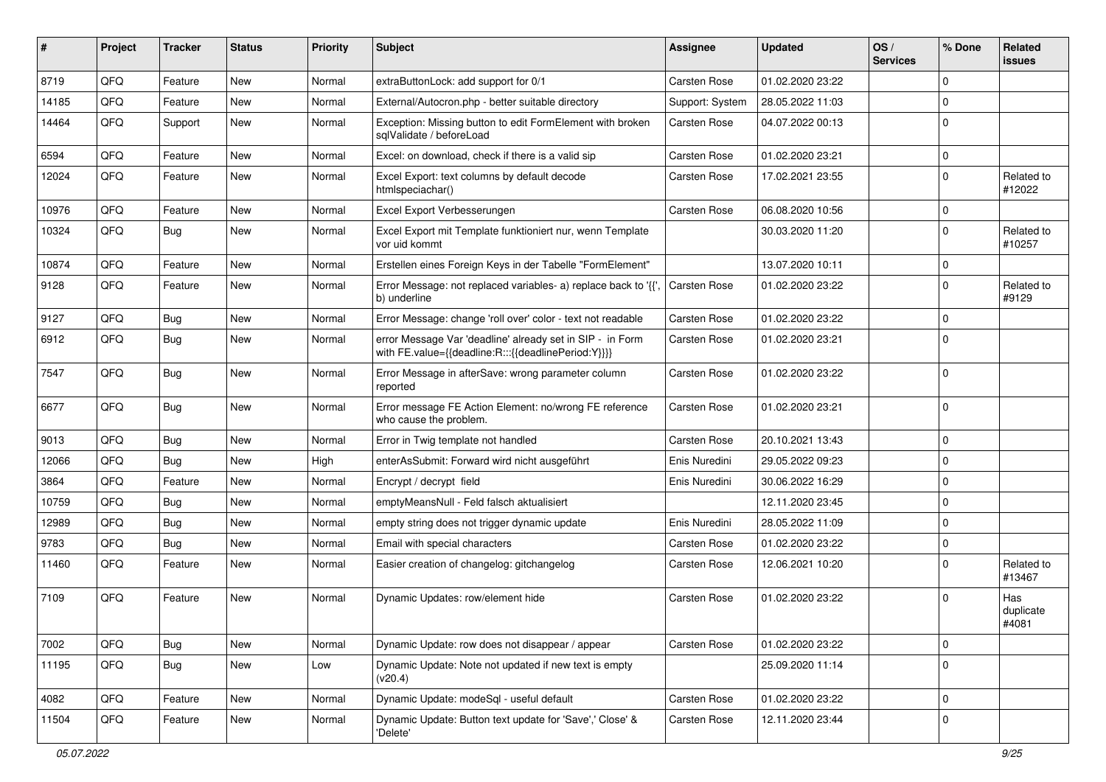| ∦     | Project | <b>Tracker</b> | <b>Status</b> | <b>Priority</b> | Subject                                                                                                          | <b>Assignee</b>     | <b>Updated</b>   | OS/<br><b>Services</b> | % Done      | Related<br><b>issues</b>  |
|-------|---------|----------------|---------------|-----------------|------------------------------------------------------------------------------------------------------------------|---------------------|------------------|------------------------|-------------|---------------------------|
| 8719  | QFQ     | Feature        | <b>New</b>    | Normal          | extraButtonLock: add support for 0/1                                                                             | <b>Carsten Rose</b> | 01.02.2020 23:22 |                        | $\Omega$    |                           |
| 14185 | QFQ     | Feature        | New           | Normal          | External/Autocron.php - better suitable directory                                                                | Support: System     | 28.05.2022 11:03 |                        | 0           |                           |
| 14464 | QFQ     | Support        | New           | Normal          | Exception: Missing button to edit FormElement with broken<br>sqlValidate / beforeLoad                            | Carsten Rose        | 04.07.2022 00:13 |                        | $\Omega$    |                           |
| 6594  | QFQ     | Feature        | New           | Normal          | Excel: on download, check if there is a valid sip                                                                | Carsten Rose        | 01.02.2020 23:21 |                        | $\mathbf 0$ |                           |
| 12024 | QFQ     | Feature        | New           | Normal          | Excel Export: text columns by default decode<br>htmlspeciachar()                                                 | <b>Carsten Rose</b> | 17.02.2021 23:55 |                        | $\Omega$    | Related to<br>#12022      |
| 10976 | QFQ     | Feature        | <b>New</b>    | Normal          | Excel Export Verbesserungen                                                                                      | <b>Carsten Rose</b> | 06.08.2020 10:56 |                        | $\Omega$    |                           |
| 10324 | QFQ     | <b>Bug</b>     | <b>New</b>    | Normal          | Excel Export mit Template funktioniert nur, wenn Template<br>vor uid kommt                                       |                     | 30.03.2020 11:20 |                        | $\Omega$    | Related to<br>#10257      |
| 10874 | QFQ     | Feature        | <b>New</b>    | Normal          | Erstellen eines Foreign Keys in der Tabelle "FormElement"                                                        |                     | 13.07.2020 10:11 |                        | $\Omega$    |                           |
| 9128  | QFQ     | Feature        | <b>New</b>    | Normal          | Error Message: not replaced variables- a) replace back to '{',<br>b) underline                                   | <b>Carsten Rose</b> | 01.02.2020 23:22 |                        | $\Omega$    | Related to<br>#9129       |
| 9127  | QFQ     | Bug            | <b>New</b>    | Normal          | Error Message: change 'roll over' color - text not readable                                                      | Carsten Rose        | 01.02.2020 23:22 |                        | $\Omega$    |                           |
| 6912  | QFQ     | Bug            | New           | Normal          | error Message Var 'deadline' already set in SIP - in Form<br>with FE.value={{deadline:R:::{{deadlinePeriod:Y}}}} | Carsten Rose        | 01.02.2020 23:21 |                        | $\Omega$    |                           |
| 7547  | QFQ     | Bug            | <b>New</b>    | Normal          | Error Message in afterSave: wrong parameter column<br>reported                                                   | Carsten Rose        | 01.02.2020 23:22 |                        | $\Omega$    |                           |
| 6677  | QFQ     | Bug            | <b>New</b>    | Normal          | Error message FE Action Element: no/wrong FE reference<br>who cause the problem.                                 | <b>Carsten Rose</b> | 01.02.2020 23:21 |                        | $\Omega$    |                           |
| 9013  | QFQ     | Bug            | New           | Normal          | Error in Twig template not handled                                                                               | <b>Carsten Rose</b> | 20.10.2021 13:43 |                        | $\mathbf 0$ |                           |
| 12066 | QFQ     | Bug            | New           | High            | enterAsSubmit: Forward wird nicht ausgeführt                                                                     | Enis Nuredini       | 29.05.2022 09:23 |                        | $\Omega$    |                           |
| 3864  | QFQ     | Feature        | <b>New</b>    | Normal          | Encrypt / decrypt field                                                                                          | Enis Nuredini       | 30.06.2022 16:29 |                        | $\Omega$    |                           |
| 10759 | QFQ     | Bug            | New           | Normal          | emptyMeansNull - Feld falsch aktualisiert                                                                        |                     | 12.11.2020 23:45 |                        | $\Omega$    |                           |
| 12989 | QFQ     | Bug            | <b>New</b>    | Normal          | empty string does not trigger dynamic update                                                                     | Enis Nuredini       | 28.05.2022 11:09 |                        | $\Omega$    |                           |
| 9783  | QFQ     | Bug            | New           | Normal          | Email with special characters                                                                                    | <b>Carsten Rose</b> | 01.02.2020 23:22 |                        | $\mathbf 0$ |                           |
| 11460 | QFQ     | Feature        | New           | Normal          | Easier creation of changelog: gitchangelog                                                                       | Carsten Rose        | 12.06.2021 10:20 |                        | $\Omega$    | Related to<br>#13467      |
| 7109  | QFQ     | Feature        | <b>New</b>    | Normal          | Dynamic Updates: row/element hide                                                                                | Carsten Rose        | 01.02.2020 23:22 |                        | $\Omega$    | Has<br>duplicate<br>#4081 |
| 7002  | QFQ     | Bug            | New           | Normal          | Dynamic Update: row does not disappear / appear                                                                  | Carsten Rose        | 01.02.2020 23:22 |                        | $\mathbf 0$ |                           |
| 11195 | QFQ     | <b>Bug</b>     | New           | Low             | Dynamic Update: Note not updated if new text is empty<br>(v20.4)                                                 |                     | 25.09.2020 11:14 |                        | $\mathbf 0$ |                           |
| 4082  | QFQ     | Feature        | New           | Normal          | Dynamic Update: modeSql - useful default                                                                         | Carsten Rose        | 01.02.2020 23:22 |                        | $\mathbf 0$ |                           |
| 11504 | QFQ     | Feature        | New           | Normal          | Dynamic Update: Button text update for 'Save',' Close' &<br>'Delete'                                             | Carsten Rose        | 12.11.2020 23:44 |                        | 0           |                           |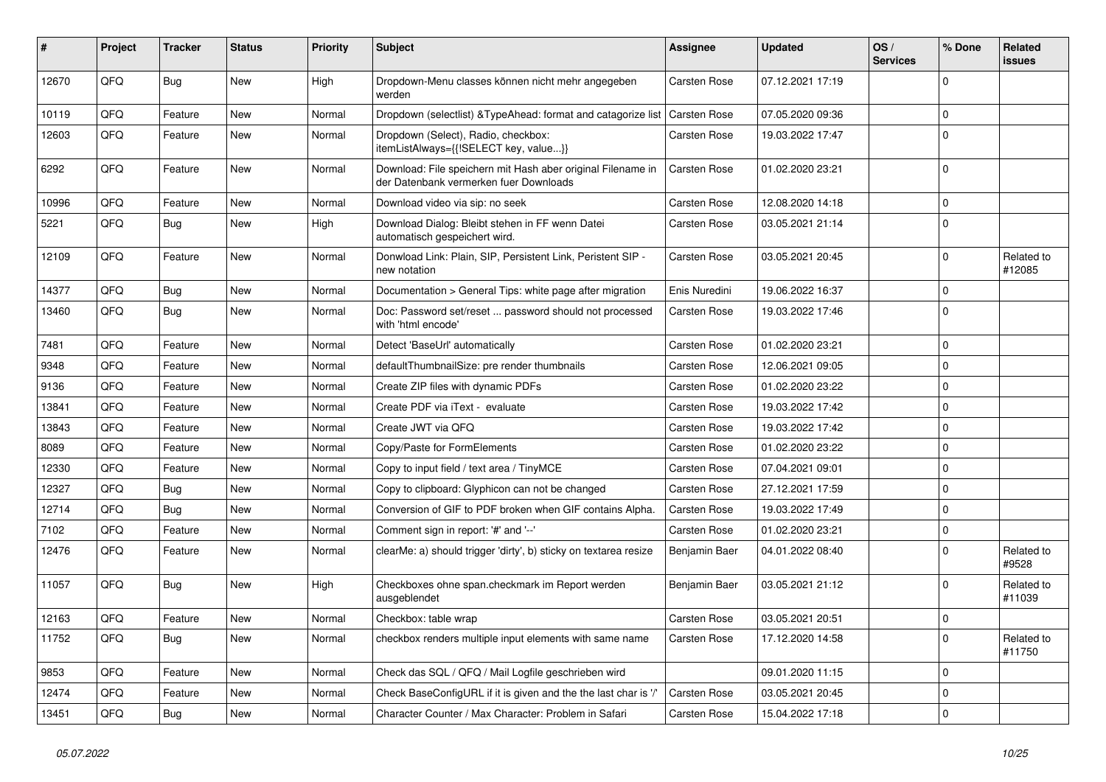| #     | Project | <b>Tracker</b> | <b>Status</b> | <b>Priority</b> | <b>Subject</b>                                                                                        | <b>Assignee</b>     | <b>Updated</b>   | OS/<br><b>Services</b> | % Done         | Related<br>issues    |
|-------|---------|----------------|---------------|-----------------|-------------------------------------------------------------------------------------------------------|---------------------|------------------|------------------------|----------------|----------------------|
| 12670 | QFQ     | Bug            | <b>New</b>    | High            | Dropdown-Menu classes können nicht mehr angegeben<br>werden                                           | Carsten Rose        | 07.12.2021 17:19 |                        | $\Omega$       |                      |
| 10119 | QFQ     | Feature        | New           | Normal          | Dropdown (selectlist) & Type Ahead: format and catagorize list                                        | Carsten Rose        | 07.05.2020 09:36 |                        | $\mathbf 0$    |                      |
| 12603 | QFQ     | Feature        | <b>New</b>    | Normal          | Dropdown (Select), Radio, checkbox:<br>itemListAlways={{!SELECT key, value}}                          | Carsten Rose        | 19.03.2022 17:47 |                        | $\Omega$       |                      |
| 6292  | QFQ     | Feature        | New           | Normal          | Download: File speichern mit Hash aber original Filename in<br>der Datenbank vermerken fuer Downloads | Carsten Rose        | 01.02.2020 23:21 |                        | $\Omega$       |                      |
| 10996 | QFQ     | Feature        | <b>New</b>    | Normal          | Download video via sip: no seek                                                                       | Carsten Rose        | 12.08.2020 14:18 |                        | $\Omega$       |                      |
| 5221  | QFQ     | <b>Bug</b>     | New           | High            | Download Dialog: Bleibt stehen in FF wenn Datei<br>automatisch gespeichert wird.                      | Carsten Rose        | 03.05.2021 21:14 |                        | $\overline{0}$ |                      |
| 12109 | QFQ     | Feature        | New           | Normal          | Donwload Link: Plain, SIP, Persistent Link, Peristent SIP -<br>new notation                           | <b>Carsten Rose</b> | 03.05.2021 20:45 |                        | $\Omega$       | Related to<br>#12085 |
| 14377 | QFQ     | <b>Bug</b>     | <b>New</b>    | Normal          | Documentation > General Tips: white page after migration                                              | Enis Nuredini       | 19.06.2022 16:37 |                        | $\mathbf 0$    |                      |
| 13460 | QFQ     | Bug            | New           | Normal          | Doc: Password set/reset  password should not processed<br>with 'html encode'                          | <b>Carsten Rose</b> | 19.03.2022 17:46 |                        | $\Omega$       |                      |
| 7481  | QFQ     | Feature        | <b>New</b>    | Normal          | Detect 'BaseUrl' automatically                                                                        | <b>Carsten Rose</b> | 01.02.2020 23:21 |                        | $\mathbf 0$    |                      |
| 9348  | QFQ     | Feature        | <b>New</b>    | Normal          | defaultThumbnailSize: pre render thumbnails                                                           | <b>Carsten Rose</b> | 12.06.2021 09:05 |                        | 0              |                      |
| 9136  | QFQ     | Feature        | <b>New</b>    | Normal          | Create ZIP files with dynamic PDFs                                                                    | Carsten Rose        | 01.02.2020 23:22 |                        | $\Omega$       |                      |
| 13841 | QFQ     | Feature        | <b>New</b>    | Normal          | Create PDF via iText - evaluate                                                                       | <b>Carsten Rose</b> | 19.03.2022 17:42 |                        | $\Omega$       |                      |
| 13843 | QFQ     | Feature        | <b>New</b>    | Normal          | Create JWT via QFQ                                                                                    | <b>Carsten Rose</b> | 19.03.2022 17:42 |                        | $\Omega$       |                      |
| 8089  | QFQ     | Feature        | <b>New</b>    | Normal          | Copy/Paste for FormElements                                                                           | Carsten Rose        | 01.02.2020 23:22 |                        | $\overline{0}$ |                      |
| 12330 | QFQ     | Feature        | New           | Normal          | Copy to input field / text area / TinyMCE                                                             | Carsten Rose        | 07.04.2021 09:01 |                        | $\Omega$       |                      |
| 12327 | QFQ     | <b>Bug</b>     | New           | Normal          | Copy to clipboard: Glyphicon can not be changed                                                       | Carsten Rose        | 27.12.2021 17:59 |                        | $\Omega$       |                      |
| 12714 | QFQ     | Bug            | New           | Normal          | Conversion of GIF to PDF broken when GIF contains Alpha.                                              | Carsten Rose        | 19.03.2022 17:49 |                        | $\Omega$       |                      |
| 7102  | QFQ     | Feature        | <b>New</b>    | Normal          | Comment sign in report: '#' and '--'                                                                  | Carsten Rose        | 01.02.2020 23:21 |                        | $\Omega$       |                      |
| 12476 | QFQ     | Feature        | New           | Normal          | clearMe: a) should trigger 'dirty', b) sticky on textarea resize                                      | Benjamin Baer       | 04.01.2022 08:40 |                        | $\Omega$       | Related to<br>#9528  |
| 11057 | QFQ     | <b>Bug</b>     | <b>New</b>    | High            | Checkboxes ohne span.checkmark im Report werden<br>ausgeblendet                                       | Benjamin Baer       | 03.05.2021 21:12 |                        | $\Omega$       | Related to<br>#11039 |
| 12163 | QFQ     | Feature        | <b>New</b>    | Normal          | Checkbox: table wrap                                                                                  | <b>Carsten Rose</b> | 03.05.2021 20:51 |                        | 0              |                      |
| 11752 | QFQ     | Bug            | <b>New</b>    | Normal          | checkbox renders multiple input elements with same name                                               | <b>Carsten Rose</b> | 17.12.2020 14:58 |                        | $\Omega$       | Related to<br>#11750 |
| 9853  | QFQ     | Feature        | <b>New</b>    | Normal          | Check das SQL / QFQ / Mail Logfile geschrieben wird                                                   |                     | 09.01.2020 11:15 |                        | $\mathbf 0$    |                      |
| 12474 | QFQ     | Feature        | <b>New</b>    | Normal          | Check BaseConfigURL if it is given and the the last char is '/'                                       | Carsten Rose        | 03.05.2021 20:45 |                        | $\mathbf 0$    |                      |
| 13451 | QFQ     | Bug            | <b>New</b>    | Normal          | Character Counter / Max Character: Problem in Safari                                                  | Carsten Rose        | 15.04.2022 17:18 |                        | $\Omega$       |                      |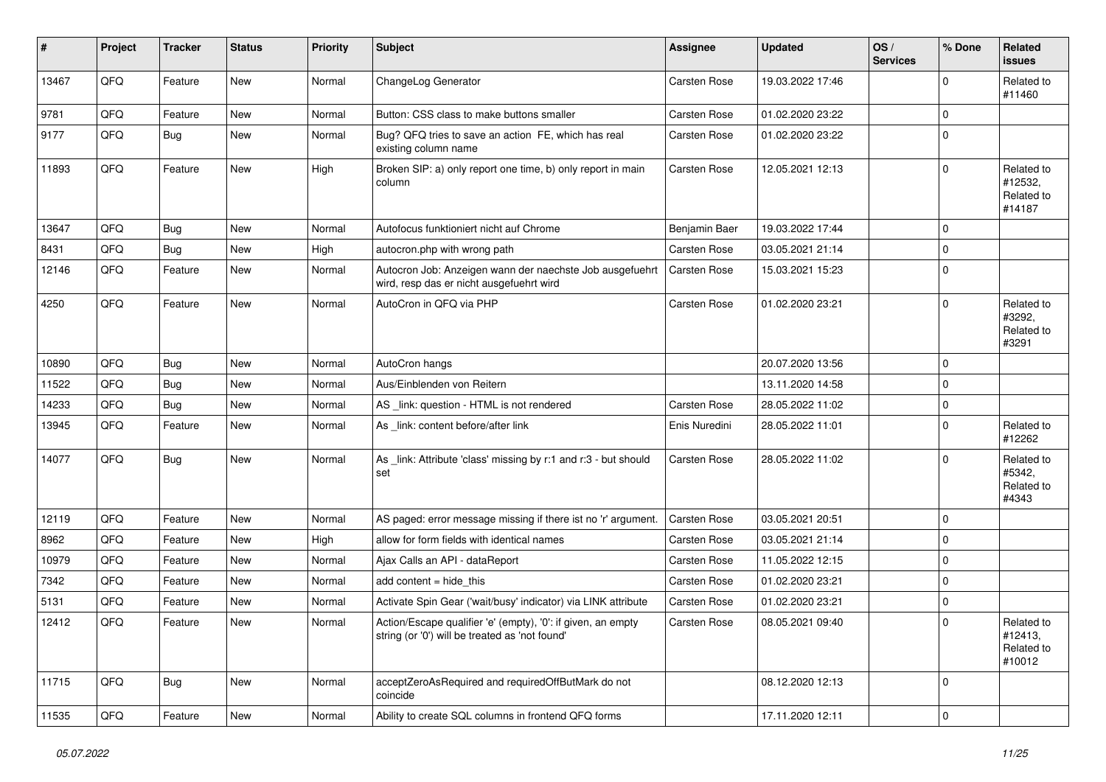| ∦     | Project | <b>Tracker</b> | <b>Status</b> | <b>Priority</b> | <b>Subject</b>                                                                                                 | <b>Assignee</b>     | <b>Updated</b>   | OS/<br><b>Services</b> | % Done      | Related<br><b>issues</b>                      |
|-------|---------|----------------|---------------|-----------------|----------------------------------------------------------------------------------------------------------------|---------------------|------------------|------------------------|-------------|-----------------------------------------------|
| 13467 | QFQ     | Feature        | New           | Normal          | ChangeLog Generator                                                                                            | <b>Carsten Rose</b> | 19.03.2022 17:46 |                        | $\Omega$    | Related to<br>#11460                          |
| 9781  | QFQ     | Feature        | <b>New</b>    | Normal          | Button: CSS class to make buttons smaller                                                                      | <b>Carsten Rose</b> | 01.02.2020 23:22 |                        | $\Omega$    |                                               |
| 9177  | QFQ     | Bug            | New           | Normal          | Bug? QFQ tries to save an action FE, which has real<br>existing column name                                    | Carsten Rose        | 01.02.2020 23:22 |                        | $\Omega$    |                                               |
| 11893 | QFQ     | Feature        | <b>New</b>    | High            | Broken SIP: a) only report one time, b) only report in main<br>column                                          | Carsten Rose        | 12.05.2021 12:13 |                        | $\mathbf 0$ | Related to<br>#12532,<br>Related to<br>#14187 |
| 13647 | QFQ     | <b>Bug</b>     | New           | Normal          | Autofocus funktioniert nicht auf Chrome                                                                        | Benjamin Baer       | 19.03.2022 17:44 |                        | $\Omega$    |                                               |
| 8431  | QFQ     | <b>Bug</b>     | New           | High            | autocron.php with wrong path                                                                                   | <b>Carsten Rose</b> | 03.05.2021 21:14 |                        | $\Omega$    |                                               |
| 12146 | QFQ     | Feature        | <b>New</b>    | Normal          | Autocron Job: Anzeigen wann der naechste Job ausgefuehrt<br>wird, resp das er nicht ausgefuehrt wird           | Carsten Rose        | 15.03.2021 15:23 |                        | $\Omega$    |                                               |
| 4250  | QFQ     | Feature        | New           | Normal          | AutoCron in QFQ via PHP                                                                                        | <b>Carsten Rose</b> | 01.02.2020 23:21 |                        | 0           | Related to<br>#3292,<br>Related to<br>#3291   |
| 10890 | QFQ     | Bug            | <b>New</b>    | Normal          | AutoCron hangs                                                                                                 |                     | 20.07.2020 13:56 |                        | $\Omega$    |                                               |
| 11522 | QFQ     | Bug            | New           | Normal          | Aus/Einblenden von Reitern                                                                                     |                     | 13.11.2020 14:58 |                        | $\Omega$    |                                               |
| 14233 | QFQ     | Bug            | New           | Normal          | AS _link: question - HTML is not rendered                                                                      | <b>Carsten Rose</b> | 28.05.2022 11:02 |                        | $\Omega$    |                                               |
| 13945 | QFQ     | Feature        | New           | Normal          | As _link: content before/after link                                                                            | Enis Nuredini       | 28.05.2022 11:01 |                        | $\Omega$    | Related to<br>#12262                          |
| 14077 | QFQ     | Bug            | New           | Normal          | As _link: Attribute 'class' missing by r:1 and r:3 - but should<br>set                                         | Carsten Rose        | 28.05.2022 11:02 |                        | 0           | Related to<br>#5342,<br>Related to<br>#4343   |
| 12119 | QFQ     | Feature        | <b>New</b>    | Normal          | AS paged: error message missing if there ist no 'r' argument.                                                  | Carsten Rose        | 03.05.2021 20:51 |                        | $\Omega$    |                                               |
| 8962  | QFQ     | Feature        | <b>New</b>    | High            | allow for form fields with identical names                                                                     | Carsten Rose        | 03.05.2021 21:14 |                        | $\Omega$    |                                               |
| 10979 | QFQ     | Feature        | New           | Normal          | Ajax Calls an API - dataReport                                                                                 | <b>Carsten Rose</b> | 11.05.2022 12:15 |                        | 0           |                                               |
| 7342  | QFQ     | Feature        | New           | Normal          | add content $=$ hide this                                                                                      | <b>Carsten Rose</b> | 01.02.2020 23:21 |                        | $\Omega$    |                                               |
| 5131  | QFQ     | Feature        | New           | Normal          | Activate Spin Gear ('wait/busy' indicator) via LINK attribute                                                  | Carsten Rose        | 01.02.2020 23:21 |                        | $\mathbf 0$ |                                               |
| 12412 | QFQ     | Feature        | New           | Normal          | Action/Escape qualifier 'e' (empty), '0': if given, an empty<br>string (or '0') will be treated as 'not found' | Carsten Rose        | 08.05.2021 09:40 |                        | $\Omega$    | Related to<br>#12413,<br>Related to<br>#10012 |
| 11715 | QFQ     | Bug            | New           | Normal          | acceptZeroAsRequired and requiredOffButMark do not<br>coincide                                                 |                     | 08.12.2020 12:13 |                        | 0           |                                               |
| 11535 | QFG     | Feature        | New           | Normal          | Ability to create SQL columns in frontend QFQ forms                                                            |                     | 17.11.2020 12:11 |                        | $\mathbf 0$ |                                               |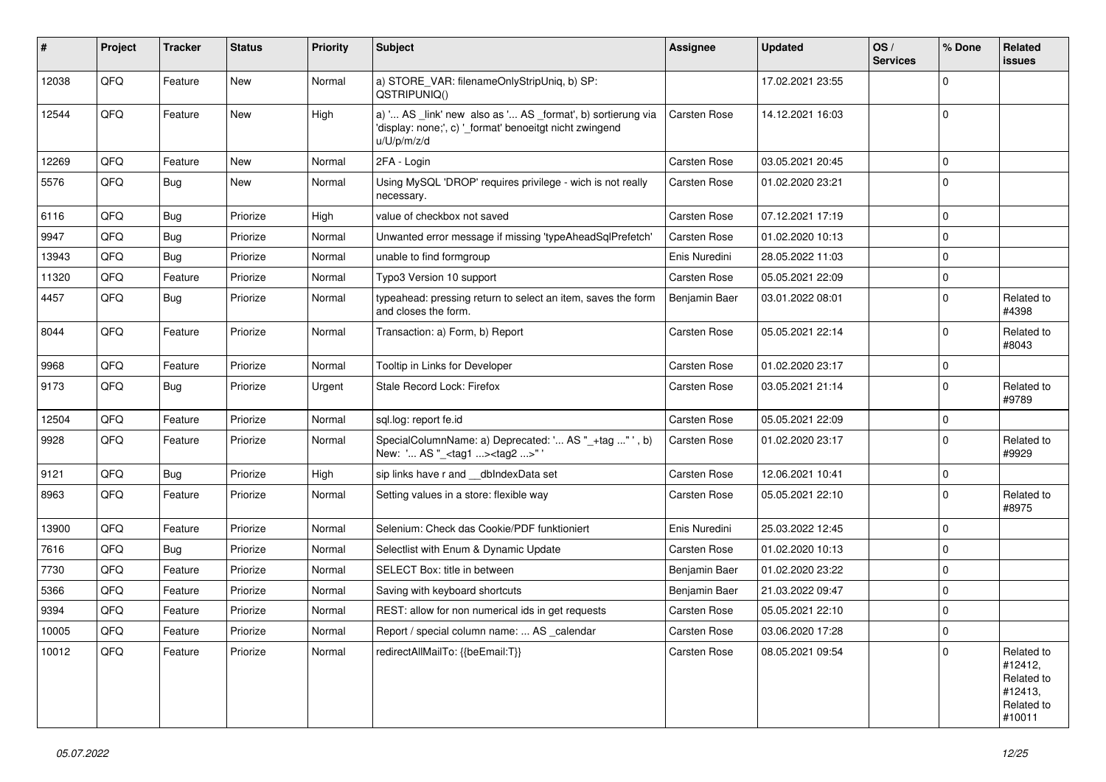| #     | Project | <b>Tracker</b> | <b>Status</b> | <b>Priority</b> | <b>Subject</b>                                                                                                                        | <b>Assignee</b>     | <b>Updated</b>   | OS/<br><b>Services</b> | % Done      | Related<br><b>issues</b>                                               |
|-------|---------|----------------|---------------|-----------------|---------------------------------------------------------------------------------------------------------------------------------------|---------------------|------------------|------------------------|-------------|------------------------------------------------------------------------|
| 12038 | QFQ     | Feature        | <b>New</b>    | Normal          | a) STORE_VAR: filenameOnlyStripUniq, b) SP:<br>QSTRIPUNIQ()                                                                           |                     | 17.02.2021 23:55 |                        | $\Omega$    |                                                                        |
| 12544 | QFQ     | Feature        | New           | High            | a) ' AS _link' new also as ' AS _format', b) sortierung via<br>'display: none;', c) '_format' benoeitgt nicht zwingend<br>u/U/p/m/z/d | <b>Carsten Rose</b> | 14.12.2021 16:03 |                        | $\mathbf 0$ |                                                                        |
| 12269 | QFQ     | Feature        | <b>New</b>    | Normal          | 2FA - Login                                                                                                                           | <b>Carsten Rose</b> | 03.05.2021 20:45 |                        | $\mathbf 0$ |                                                                        |
| 5576  | QFQ     | <b>Bug</b>     | New           | Normal          | Using MySQL 'DROP' requires privilege - wich is not really<br>necessary.                                                              | <b>Carsten Rose</b> | 01.02.2020 23:21 |                        | $\mathbf 0$ |                                                                        |
| 6116  | QFQ     | <b>Bug</b>     | Priorize      | High            | value of checkbox not saved                                                                                                           | <b>Carsten Rose</b> | 07.12.2021 17:19 |                        | $\mathbf 0$ |                                                                        |
| 9947  | QFQ     | Bug            | Priorize      | Normal          | Unwanted error message if missing 'typeAheadSqlPrefetch'                                                                              | <b>Carsten Rose</b> | 01.02.2020 10:13 |                        | $\mathbf 0$ |                                                                        |
| 13943 | QFQ     | <b>Bug</b>     | Priorize      | Normal          | unable to find formgroup                                                                                                              | Enis Nuredini       | 28.05.2022 11:03 |                        | $\mathbf 0$ |                                                                        |
| 11320 | QFQ     | Feature        | Priorize      | Normal          | Typo3 Version 10 support                                                                                                              | <b>Carsten Rose</b> | 05.05.2021 22:09 |                        | 0           |                                                                        |
| 4457  | QFQ     | Bug            | Priorize      | Normal          | typeahead: pressing return to select an item, saves the form<br>and closes the form.                                                  | Benjamin Baer       | 03.01.2022 08:01 |                        | $\Omega$    | Related to<br>#4398                                                    |
| 8044  | QFQ     | Feature        | Priorize      | Normal          | Transaction: a) Form, b) Report                                                                                                       | Carsten Rose        | 05.05.2021 22:14 |                        | $\Omega$    | Related to<br>#8043                                                    |
| 9968  | QFQ     | Feature        | Priorize      | Normal          | Tooltip in Links for Developer                                                                                                        | <b>Carsten Rose</b> | 01.02.2020 23:17 |                        | $\mathbf 0$ |                                                                        |
| 9173  | QFQ     | <b>Bug</b>     | Priorize      | Urgent          | Stale Record Lock: Firefox                                                                                                            | Carsten Rose        | 03.05.2021 21:14 |                        | $\mathbf 0$ | Related to<br>#9789                                                    |
| 12504 | QFQ     | Feature        | Priorize      | Normal          | sql.log: report fe.id                                                                                                                 | Carsten Rose        | 05.05.2021 22:09 |                        | $\mathbf 0$ |                                                                        |
| 9928  | QFQ     | Feature        | Priorize      | Normal          | SpecialColumnName: a) Deprecated: ' AS "_+tag " ', b)<br>New: ' AS "_ <tag1><tag2>"'</tag2></tag1>                                    | Carsten Rose        | 01.02.2020 23:17 |                        | $\Omega$    | Related to<br>#9929                                                    |
| 9121  | QFQ     | <b>Bug</b>     | Priorize      | High            | sip links have r and __dbIndexData set                                                                                                | <b>Carsten Rose</b> | 12.06.2021 10:41 |                        | $\mathbf 0$ |                                                                        |
| 8963  | QFQ     | Feature        | Priorize      | Normal          | Setting values in a store: flexible way                                                                                               | <b>Carsten Rose</b> | 05.05.2021 22:10 |                        | $\Omega$    | Related to<br>#8975                                                    |
| 13900 | QFQ     | Feature        | Priorize      | Normal          | Selenium: Check das Cookie/PDF funktioniert                                                                                           | Enis Nuredini       | 25.03.2022 12:45 |                        | $\mathbf 0$ |                                                                        |
| 7616  | QFQ     | Bug            | Priorize      | Normal          | Selectlist with Enum & Dynamic Update                                                                                                 | Carsten Rose        | 01.02.2020 10:13 |                        | $\Omega$    |                                                                        |
| 7730  | QFQ     | Feature        | Priorize      | Normal          | SELECT Box: title in between                                                                                                          | Benjamin Baer       | 01.02.2020 23:22 |                        | $\Omega$    |                                                                        |
| 5366  | QFQ     | Feature        | Priorize      | Normal          | Saving with keyboard shortcuts                                                                                                        | Benjamin Baer       | 21.03.2022 09:47 |                        | $\mathbf 0$ |                                                                        |
| 9394  | QFQ     | Feature        | Priorize      | Normal          | REST: allow for non numerical ids in get requests                                                                                     | <b>Carsten Rose</b> | 05.05.2021 22:10 |                        | $\mathbf 0$ |                                                                        |
| 10005 | QFQ     | Feature        | Priorize      | Normal          | Report / special column name:  AS _calendar                                                                                           | Carsten Rose        | 03.06.2020 17:28 |                        | 0           |                                                                        |
| 10012 | QFQ     | Feature        | Priorize      | Normal          | redirectAllMailTo: {{beEmail:T}}                                                                                                      | Carsten Rose        | 08.05.2021 09:54 |                        | $\mathbf 0$ | Related to<br>#12412,<br>Related to<br>#12413,<br>Related to<br>#10011 |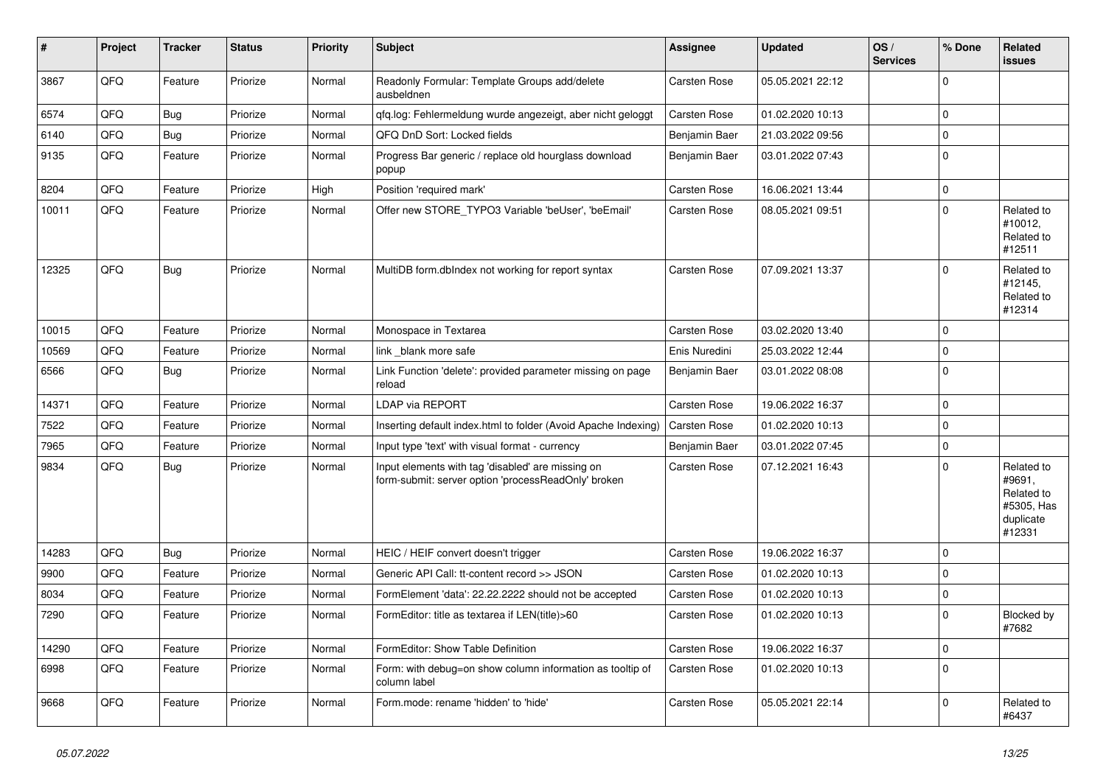| ∦     | Project | <b>Tracker</b> | <b>Status</b> | Priority | <b>Subject</b>                                                                                           | <b>Assignee</b>     | <b>Updated</b>   | OS/<br><b>Services</b> | % Done      | Related<br><b>issues</b>                                                |
|-------|---------|----------------|---------------|----------|----------------------------------------------------------------------------------------------------------|---------------------|------------------|------------------------|-------------|-------------------------------------------------------------------------|
| 3867  | QFQ     | Feature        | Priorize      | Normal   | Readonly Formular: Template Groups add/delete<br>ausbeldnen                                              | <b>Carsten Rose</b> | 05.05.2021 22:12 |                        | $\Omega$    |                                                                         |
| 6574  | QFQ     | <b>Bug</b>     | Priorize      | Normal   | gfg.log: Fehlermeldung wurde angezeigt, aber nicht geloggt                                               | Carsten Rose        | 01.02.2020 10:13 |                        | $\mathbf 0$ |                                                                         |
| 6140  | QFQ     | <b>Bug</b>     | Priorize      | Normal   | QFQ DnD Sort: Locked fields                                                                              | Benjamin Baer       | 21.03.2022 09:56 |                        | $\mathbf 0$ |                                                                         |
| 9135  | QFQ     | Feature        | Priorize      | Normal   | Progress Bar generic / replace old hourglass download<br>popup                                           | Benjamin Baer       | 03.01.2022 07:43 |                        | $\mathbf 0$ |                                                                         |
| 8204  | QFQ     | Feature        | Priorize      | High     | Position 'required mark'                                                                                 | <b>Carsten Rose</b> | 16.06.2021 13:44 |                        | $\Omega$    |                                                                         |
| 10011 | QFQ     | Feature        | Priorize      | Normal   | Offer new STORE_TYPO3 Variable 'beUser', 'beEmail'                                                       | <b>Carsten Rose</b> | 08.05.2021 09:51 |                        | $\Omega$    | Related to<br>#10012,<br>Related to<br>#12511                           |
| 12325 | QFQ     | Bug            | Priorize      | Normal   | MultiDB form.dblndex not working for report syntax                                                       | Carsten Rose        | 07.09.2021 13:37 |                        | $\Omega$    | Related to<br>#12145,<br>Related to<br>#12314                           |
| 10015 | QFQ     | Feature        | Priorize      | Normal   | Monospace in Textarea                                                                                    | Carsten Rose        | 03.02.2020 13:40 |                        | $\Omega$    |                                                                         |
| 10569 | QFQ     | Feature        | Priorize      | Normal   | link blank more safe                                                                                     | Enis Nuredini       | 25.03.2022 12:44 |                        | $\Omega$    |                                                                         |
| 6566  | QFQ     | <b>Bug</b>     | Priorize      | Normal   | Link Function 'delete': provided parameter missing on page<br>reload                                     | Benjamin Baer       | 03.01.2022 08:08 |                        | $\Omega$    |                                                                         |
| 14371 | QFQ     | Feature        | Priorize      | Normal   | <b>LDAP via REPORT</b>                                                                                   | Carsten Rose        | 19.06.2022 16:37 |                        | $\Omega$    |                                                                         |
| 7522  | QFQ     | Feature        | Priorize      | Normal   | Inserting default index.html to folder (Avoid Apache Indexing)                                           | Carsten Rose        | 01.02.2020 10:13 |                        | $\mathbf 0$ |                                                                         |
| 7965  | QFQ     | Feature        | Priorize      | Normal   | Input type 'text' with visual format - currency                                                          | Benjamin Baer       | 03.01.2022 07:45 |                        | $\mathbf 0$ |                                                                         |
| 9834  | QFQ     | Bug            | Priorize      | Normal   | Input elements with tag 'disabled' are missing on<br>form-submit: server option 'processReadOnly' broken | Carsten Rose        | 07.12.2021 16:43 |                        | $\Omega$    | Related to<br>#9691,<br>Related to<br>#5305, Has<br>duplicate<br>#12331 |
| 14283 | QFQ     | <b>Bug</b>     | Priorize      | Normal   | HEIC / HEIF convert doesn't trigger                                                                      | Carsten Rose        | 19.06.2022 16:37 |                        | $\Omega$    |                                                                         |
| 9900  | QFQ     | Feature        | Priorize      | Normal   | Generic API Call: tt-content record >> JSON                                                              | <b>Carsten Rose</b> | 01.02.2020 10:13 |                        | $\mathbf 0$ |                                                                         |
| 8034  | QFQ     | Feature        | Priorize      | Normal   | FormElement 'data': 22.22.2222 should not be accepted                                                    | <b>Carsten Rose</b> | 01.02.2020 10:13 |                        | $\mathbf 0$ |                                                                         |
| 7290  | QFQ     | Feature        | Priorize      | Normal   | FormEditor: title as textarea if LEN(title)>60                                                           | Carsten Rose        | 01.02.2020 10:13 |                        | $\Omega$    | Blocked by<br>#7682                                                     |
| 14290 | QFQ     | Feature        | Priorize      | Normal   | FormEditor: Show Table Definition                                                                        | Carsten Rose        | 19.06.2022 16:37 |                        | $\mathbf 0$ |                                                                         |
| 6998  | QFQ     | Feature        | Priorize      | Normal   | Form: with debug=on show column information as tooltip of<br>column label                                | Carsten Rose        | 01.02.2020 10:13 |                        | $\Omega$    |                                                                         |
| 9668  | QFQ     | Feature        | Priorize      | Normal   | Form.mode: rename 'hidden' to 'hide'                                                                     | Carsten Rose        | 05.05.2021 22:14 |                        | $\Omega$    | Related to<br>#6437                                                     |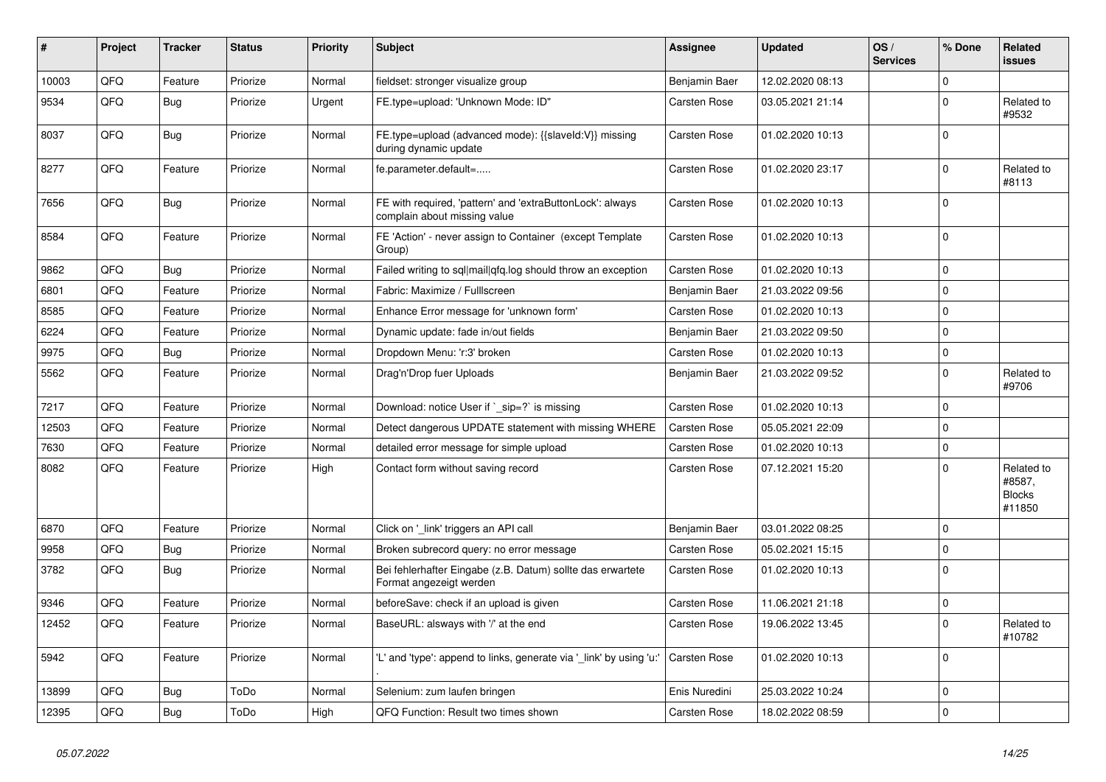| #     | Project | <b>Tracker</b> | <b>Status</b> | <b>Priority</b> | <b>Subject</b>                                                                            | <b>Assignee</b>     | <b>Updated</b>   | OS/<br><b>Services</b> | % Done      | Related<br><b>issues</b>                        |
|-------|---------|----------------|---------------|-----------------|-------------------------------------------------------------------------------------------|---------------------|------------------|------------------------|-------------|-------------------------------------------------|
| 10003 | QFQ     | Feature        | Priorize      | Normal          | fieldset: stronger visualize group                                                        | Benjamin Baer       | 12.02.2020 08:13 |                        | $\Omega$    |                                                 |
| 9534  | QFQ     | <b>Bug</b>     | Priorize      | Urgent          | FE.type=upload: 'Unknown Mode: ID"                                                        | Carsten Rose        | 03.05.2021 21:14 |                        | $\Omega$    | Related to<br>#9532                             |
| 8037  | QFQ     | <b>Bug</b>     | Priorize      | Normal          | FE.type=upload (advanced mode): {{slaveId:V}} missing<br>during dynamic update            | Carsten Rose        | 01.02.2020 10:13 |                        | $\Omega$    |                                                 |
| 8277  | QFQ     | Feature        | Priorize      | Normal          | fe.parameter.default=                                                                     | Carsten Rose        | 01.02.2020 23:17 |                        | $\mathbf 0$ | Related to<br>#8113                             |
| 7656  | QFQ     | <b>Bug</b>     | Priorize      | Normal          | FE with required, 'pattern' and 'extraButtonLock': always<br>complain about missing value | Carsten Rose        | 01.02.2020 10:13 |                        | $\Omega$    |                                                 |
| 8584  | QFQ     | Feature        | Priorize      | Normal          | FE 'Action' - never assign to Container (except Template<br>Group)                        | Carsten Rose        | 01.02.2020 10:13 |                        | $\mathbf 0$ |                                                 |
| 9862  | QFQ     | Bug            | Priorize      | Normal          | Failed writing to sql mail qfq.log should throw an exception                              | <b>Carsten Rose</b> | 01.02.2020 10:13 |                        | $\Omega$    |                                                 |
| 6801  | QFQ     | Feature        | Priorize      | Normal          | Fabric: Maximize / FullIscreen                                                            | Benjamin Baer       | 21.03.2022 09:56 |                        | $\Omega$    |                                                 |
| 8585  | QFQ     | Feature        | Priorize      | Normal          | Enhance Error message for 'unknown form'                                                  | Carsten Rose        | 01.02.2020 10:13 |                        | $\Omega$    |                                                 |
| 6224  | QFQ     | Feature        | Priorize      | Normal          | Dynamic update: fade in/out fields                                                        | Benjamin Baer       | 21.03.2022 09:50 |                        | $\Omega$    |                                                 |
| 9975  | QFQ     | <b>Bug</b>     | Priorize      | Normal          | Dropdown Menu: 'r:3' broken                                                               | <b>Carsten Rose</b> | 01.02.2020 10:13 |                        | $\mathbf 0$ |                                                 |
| 5562  | QFQ     | Feature        | Priorize      | Normal          | Drag'n'Drop fuer Uploads                                                                  | Benjamin Baer       | 21.03.2022 09:52 |                        | $\mathbf 0$ | Related to<br>#9706                             |
| 7217  | QFQ     | Feature        | Priorize      | Normal          | Download: notice User if `_sip=?` is missing                                              | Carsten Rose        | 01.02.2020 10:13 |                        | $\Omega$    |                                                 |
| 12503 | QFQ     | Feature        | Priorize      | Normal          | Detect dangerous UPDATE statement with missing WHERE                                      | <b>Carsten Rose</b> | 05.05.2021 22:09 |                        | $\Omega$    |                                                 |
| 7630  | QFQ     | Feature        | Priorize      | Normal          | detailed error message for simple upload                                                  | Carsten Rose        | 01.02.2020 10:13 |                        | $\Omega$    |                                                 |
| 8082  | QFQ     | Feature        | Priorize      | High            | Contact form without saving record                                                        | Carsten Rose        | 07.12.2021 15:20 |                        | $\Omega$    | Related to<br>#8587,<br><b>Blocks</b><br>#11850 |
| 6870  | QFQ     | Feature        | Priorize      | Normal          | Click on ' link' triggers an API call                                                     | Benjamin Baer       | 03.01.2022 08:25 |                        | $\Omega$    |                                                 |
| 9958  | QFQ     | Bug            | Priorize      | Normal          | Broken subrecord query: no error message                                                  | <b>Carsten Rose</b> | 05.02.2021 15:15 |                        | $\Omega$    |                                                 |
| 3782  | QFQ     | Bug            | Priorize      | Normal          | Bei fehlerhafter Eingabe (z.B. Datum) sollte das erwartete<br>Format angezeigt werden     | Carsten Rose        | 01.02.2020 10:13 |                        | $\Omega$    |                                                 |
| 9346  | QFQ     | Feature        | Priorize      | Normal          | beforeSave: check if an upload is given                                                   | Carsten Rose        | 11.06.2021 21:18 |                        | $\mathbf 0$ |                                                 |
| 12452 | QFQ     | Feature        | Priorize      | Normal          | BaseURL: alsways with '/' at the end                                                      | Carsten Rose        | 19.06.2022 13:45 |                        | $\Omega$    | Related to<br>#10782                            |
| 5942  | QFQ     | Feature        | Priorize      | Normal          | 'L' and 'type': append to links, generate via 'link' by using 'u:'                        | <b>Carsten Rose</b> | 01.02.2020 10:13 |                        | $\mathbf 0$ |                                                 |
| 13899 | QFQ     | Bug            | ToDo          | Normal          | Selenium: zum laufen bringen                                                              | Enis Nuredini       | 25.03.2022 10:24 |                        | $\Omega$    |                                                 |
| 12395 | QFQ     | Bug            | ToDo          | High            | QFQ Function: Result two times shown                                                      | Carsten Rose        | 18.02.2022 08:59 |                        | $\Omega$    |                                                 |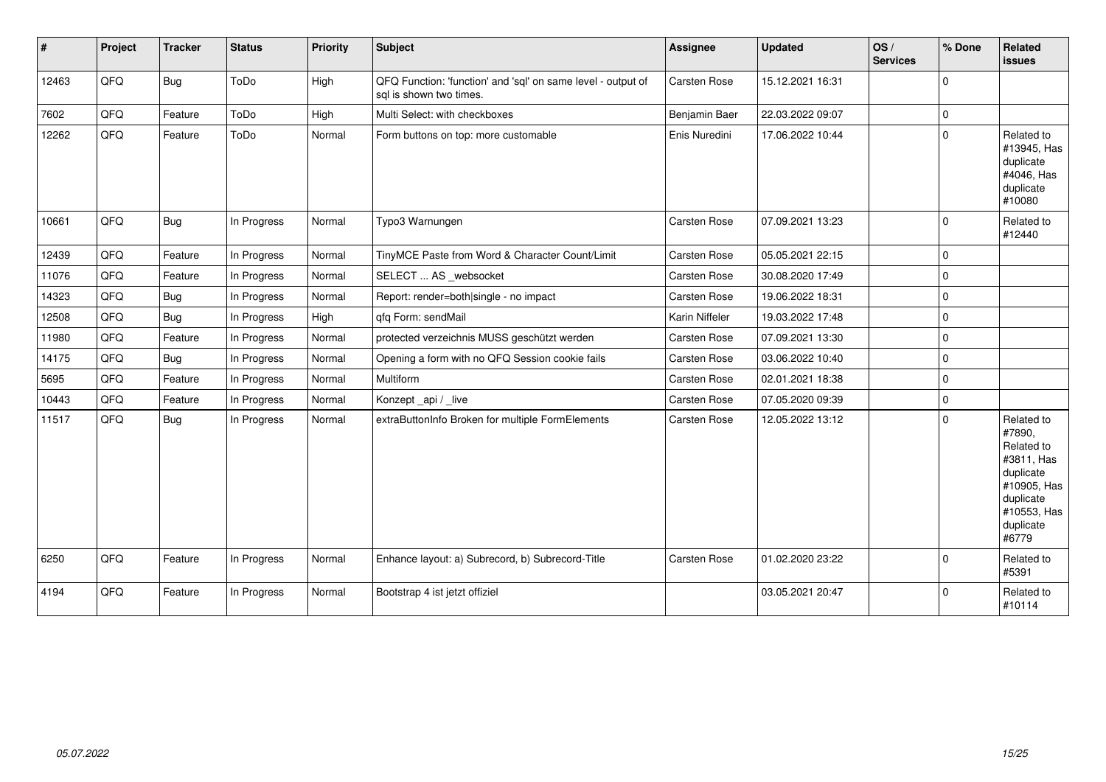| #     | Project | <b>Tracker</b> | <b>Status</b> | <b>Priority</b> | <b>Subject</b>                                                                          | <b>Assignee</b>     | <b>Updated</b>   | OS/<br><b>Services</b> | % Done      | Related<br><b>issues</b>                                                                                                       |
|-------|---------|----------------|---------------|-----------------|-----------------------------------------------------------------------------------------|---------------------|------------------|------------------------|-------------|--------------------------------------------------------------------------------------------------------------------------------|
| 12463 | QFQ     | Bug            | ToDo          | High            | QFQ Function: 'function' and 'sql' on same level - output of<br>sql is shown two times. | Carsten Rose        | 15.12.2021 16:31 |                        | $\mathbf 0$ |                                                                                                                                |
| 7602  | QFQ     | Feature        | ToDo          | High            | Multi Select: with checkboxes                                                           | Benjamin Baer       | 22.03.2022 09:07 |                        | $\Omega$    |                                                                                                                                |
| 12262 | QFQ     | Feature        | ToDo          | Normal          | Form buttons on top: more customable                                                    | Enis Nuredini       | 17.06.2022 10:44 |                        | $\mathbf 0$ | Related to<br>#13945, Has<br>duplicate<br>#4046, Has<br>duplicate<br>#10080                                                    |
| 10661 | QFQ     | Bug            | In Progress   | Normal          | Typo3 Warnungen                                                                         | Carsten Rose        | 07.09.2021 13:23 |                        | $\Omega$    | Related to<br>#12440                                                                                                           |
| 12439 | QFQ     | Feature        | In Progress   | Normal          | TinyMCE Paste from Word & Character Count/Limit                                         | Carsten Rose        | 05.05.2021 22:15 |                        | $\mathbf 0$ |                                                                                                                                |
| 11076 | QFQ     | Feature        | In Progress   | Normal          | SELECT  AS _websocket                                                                   | Carsten Rose        | 30.08.2020 17:49 |                        | $\Omega$    |                                                                                                                                |
| 14323 | QFQ     | Bug            | In Progress   | Normal          | Report: render=both single - no impact                                                  | <b>Carsten Rose</b> | 19.06.2022 18:31 |                        | $\Omega$    |                                                                                                                                |
| 12508 | QFQ     | Bug            | In Progress   | High            | qfq Form: sendMail                                                                      | Karin Niffeler      | 19.03.2022 17:48 |                        | $\mathbf 0$ |                                                                                                                                |
| 11980 | QFQ     | Feature        | In Progress   | Normal          | protected verzeichnis MUSS geschützt werden                                             | Carsten Rose        | 07.09.2021 13:30 |                        | $\mathbf 0$ |                                                                                                                                |
| 14175 | QFQ     | Bug            | In Progress   | Normal          | Opening a form with no QFQ Session cookie fails                                         | Carsten Rose        | 03.06.2022 10:40 |                        | $\Omega$    |                                                                                                                                |
| 5695  | QFQ     | Feature        | In Progress   | Normal          | Multiform                                                                               | Carsten Rose        | 02.01.2021 18:38 |                        | $\Omega$    |                                                                                                                                |
| 10443 | QFQ     | Feature        | In Progress   | Normal          | Konzept_api / _live                                                                     | Carsten Rose        | 07.05.2020 09:39 |                        | $\mathbf 0$ |                                                                                                                                |
| 11517 | QFQ     | Bug            | In Progress   | Normal          | extraButtonInfo Broken for multiple FormElements                                        | Carsten Rose        | 12.05.2022 13:12 |                        | $\mathbf 0$ | Related to<br>#7890,<br>Related to<br>#3811, Has<br>duplicate<br>#10905, Has<br>duplicate<br>#10553, Has<br>duplicate<br>#6779 |
| 6250  | QFQ     | Feature        | In Progress   | Normal          | Enhance layout: a) Subrecord, b) Subrecord-Title                                        | Carsten Rose        | 01.02.2020 23:22 |                        | $\Omega$    | Related to<br>#5391                                                                                                            |
| 4194  | QFQ     | Feature        | In Progress   | Normal          | Bootstrap 4 ist jetzt offiziel                                                          |                     | 03.05.2021 20:47 |                        | 0           | Related to<br>#10114                                                                                                           |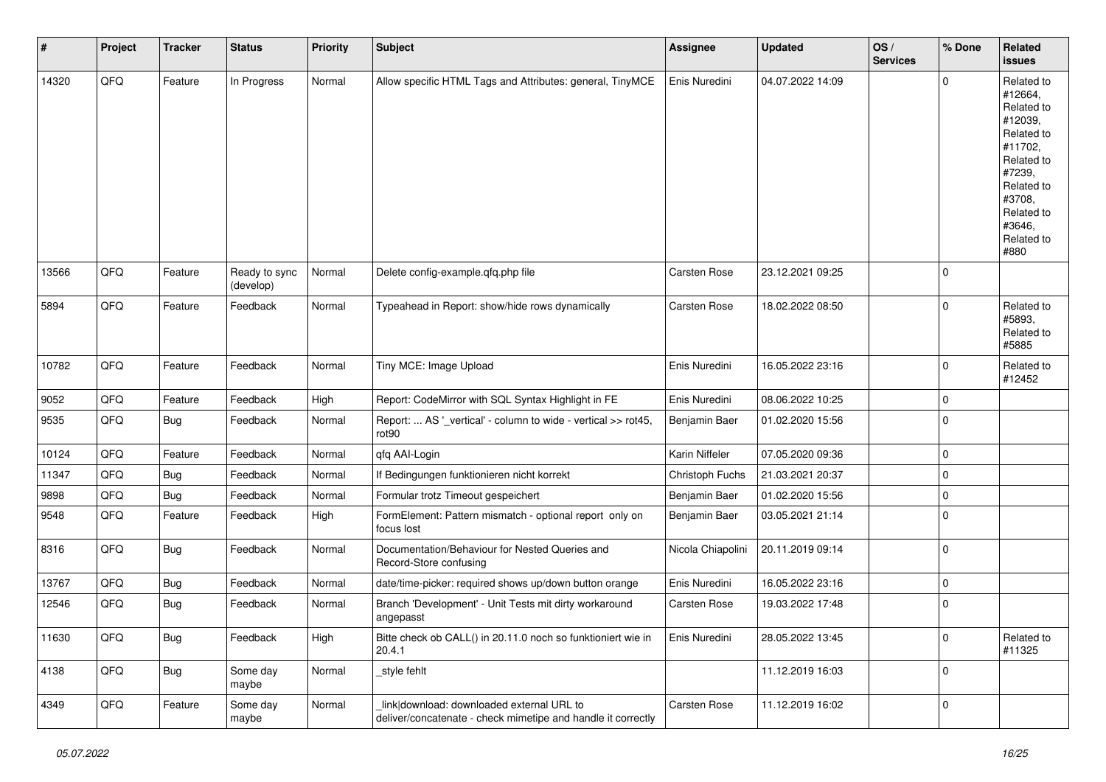| #     | Project | <b>Tracker</b> | <b>Status</b>              | <b>Priority</b> | <b>Subject</b>                                                                                            | <b>Assignee</b>     | <b>Updated</b>   | OS/<br><b>Services</b> | % Done      | Related<br>issues                                                                                                                                                     |
|-------|---------|----------------|----------------------------|-----------------|-----------------------------------------------------------------------------------------------------------|---------------------|------------------|------------------------|-------------|-----------------------------------------------------------------------------------------------------------------------------------------------------------------------|
| 14320 | QFQ     | Feature        | In Progress                | Normal          | Allow specific HTML Tags and Attributes: general, TinyMCE                                                 | Enis Nuredini       | 04.07.2022 14:09 |                        | $\Omega$    | Related to<br>#12664,<br>Related to<br>#12039,<br>Related to<br>#11702,<br>Related to<br>#7239,<br>Related to<br>#3708,<br>Related to<br>#3646,<br>Related to<br>#880 |
| 13566 | QFQ     | Feature        | Ready to sync<br>(develop) | Normal          | Delete config-example.qfq.php file                                                                        | <b>Carsten Rose</b> | 23.12.2021 09:25 |                        | $\mathbf 0$ |                                                                                                                                                                       |
| 5894  | QFQ     | Feature        | Feedback                   | Normal          | Typeahead in Report: show/hide rows dynamically                                                           | Carsten Rose        | 18.02.2022 08:50 |                        | $\Omega$    | Related to<br>#5893,<br>Related to<br>#5885                                                                                                                           |
| 10782 | QFQ     | Feature        | Feedback                   | Normal          | Tiny MCE: Image Upload                                                                                    | Enis Nuredini       | 16.05.2022 23:16 |                        | $\mathbf 0$ | Related to<br>#12452                                                                                                                                                  |
| 9052  | QFQ     | Feature        | Feedback                   | High            | Report: CodeMirror with SQL Syntax Highlight in FE                                                        | Enis Nuredini       | 08.06.2022 10:25 |                        | $\Omega$    |                                                                                                                                                                       |
| 9535  | QFQ     | Bug            | Feedback                   | Normal          | Report:  AS '_vertical' - column to wide - vertical >> rot45,<br>rot <sub>90</sub>                        | Benjamin Baer       | 01.02.2020 15:56 |                        | $\mathbf 0$ |                                                                                                                                                                       |
| 10124 | QFQ     | Feature        | Feedback                   | Normal          | qfq AAI-Login                                                                                             | Karin Niffeler      | 07.05.2020 09:36 |                        | $\mathbf 0$ |                                                                                                                                                                       |
| 11347 | QFQ     | Bug            | Feedback                   | Normal          | If Bedingungen funktionieren nicht korrekt                                                                | Christoph Fuchs     | 21.03.2021 20:37 |                        | 0           |                                                                                                                                                                       |
| 9898  | QFQ     | <b>Bug</b>     | Feedback                   | Normal          | Formular trotz Timeout gespeichert                                                                        | Benjamin Baer       | 01.02.2020 15:56 |                        | $\mathbf 0$ |                                                                                                                                                                       |
| 9548  | QFQ     | Feature        | Feedback                   | High            | FormElement: Pattern mismatch - optional report only on<br>focus lost                                     | Benjamin Baer       | 03.05.2021 21:14 |                        | $\Omega$    |                                                                                                                                                                       |
| 8316  | QFQ     | <b>Bug</b>     | Feedback                   | Normal          | Documentation/Behaviour for Nested Queries and<br>Record-Store confusing                                  | Nicola Chiapolini   | 20.11.2019 09:14 |                        | $\Omega$    |                                                                                                                                                                       |
| 13767 | QFQ     | <b>Bug</b>     | Feedback                   | Normal          | date/time-picker: required shows up/down button orange                                                    | Enis Nuredini       | 16.05.2022 23:16 |                        | $\mathbf 0$ |                                                                                                                                                                       |
| 12546 | QFQ     | <b>Bug</b>     | Feedback                   | Normal          | Branch 'Development' - Unit Tests mit dirty workaround<br>angepasst                                       | Carsten Rose        | 19.03.2022 17:48 |                        | $\mathbf 0$ |                                                                                                                                                                       |
| 11630 | QFQ     | <b>Bug</b>     | Feedback                   | High            | Bitte check ob CALL() in 20.11.0 noch so funktioniert wie in<br>20.4.1                                    | Enis Nuredini       | 28.05.2022 13:45 |                        | $\mathbf 0$ | Related to<br>#11325                                                                                                                                                  |
| 4138  | QFQ     | Bug            | Some day<br>maybe          | Normal          | _style fehlt                                                                                              |                     | 11.12.2019 16:03 |                        | $\mathbf 0$ |                                                                                                                                                                       |
| 4349  | QFQ     | Feature        | Some day<br>maybe          | Normal          | link download: downloaded external URL to<br>deliver/concatenate - check mimetipe and handle it correctly | Carsten Rose        | 11.12.2019 16:02 |                        | 0           |                                                                                                                                                                       |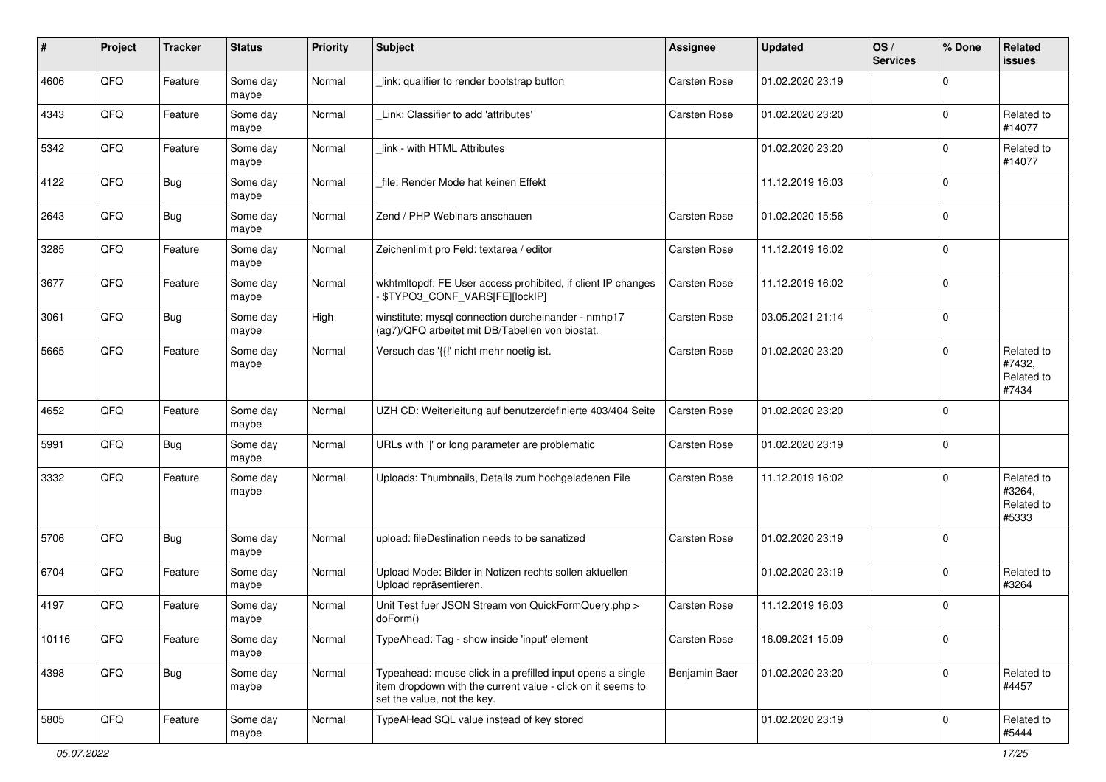| #     | Project | <b>Tracker</b> | <b>Status</b>     | <b>Priority</b> | <b>Subject</b>                                                                                                                                           | <b>Assignee</b>     | <b>Updated</b>   | OS/<br><b>Services</b> | % Done      | Related<br><b>issues</b>                    |
|-------|---------|----------------|-------------------|-----------------|----------------------------------------------------------------------------------------------------------------------------------------------------------|---------------------|------------------|------------------------|-------------|---------------------------------------------|
| 4606  | QFQ     | Feature        | Some day<br>maybe | Normal          | link: qualifier to render bootstrap button                                                                                                               | Carsten Rose        | 01.02.2020 23:19 |                        | $\Omega$    |                                             |
| 4343  | QFQ     | Feature        | Some day<br>maybe | Normal          | Link: Classifier to add 'attributes'                                                                                                                     | Carsten Rose        | 01.02.2020 23:20 |                        | $\Omega$    | Related to<br>#14077                        |
| 5342  | QFQ     | Feature        | Some day<br>maybe | Normal          | link - with HTML Attributes                                                                                                                              |                     | 01.02.2020 23:20 |                        | 0           | Related to<br>#14077                        |
| 4122  | QFQ     | Bug            | Some day<br>maybe | Normal          | file: Render Mode hat keinen Effekt                                                                                                                      |                     | 11.12.2019 16:03 |                        | $\mathbf 0$ |                                             |
| 2643  | QFQ     | Bug            | Some day<br>maybe | Normal          | Zend / PHP Webinars anschauen                                                                                                                            | Carsten Rose        | 01.02.2020 15:56 |                        | $\mathbf 0$ |                                             |
| 3285  | QFQ     | Feature        | Some day<br>maybe | Normal          | Zeichenlimit pro Feld: textarea / editor                                                                                                                 | Carsten Rose        | 11.12.2019 16:02 |                        | $\Omega$    |                                             |
| 3677  | QFQ     | Feature        | Some day<br>maybe | Normal          | wkhtmltopdf: FE User access prohibited, if client IP changes<br>\$TYPO3_CONF_VARS[FE][lockIP]                                                            | Carsten Rose        | 11.12.2019 16:02 |                        | $\Omega$    |                                             |
| 3061  | QFQ     | <b>Bug</b>     | Some day<br>maybe | High            | winstitute: mysql connection durcheinander - nmhp17<br>(ag7)/QFQ arbeitet mit DB/Tabellen von biostat.                                                   | Carsten Rose        | 03.05.2021 21:14 |                        | $\Omega$    |                                             |
| 5665  | QFQ     | Feature        | Some day<br>maybe | Normal          | Versuch das '{{!' nicht mehr noetig ist.                                                                                                                 | Carsten Rose        | 01.02.2020 23:20 |                        | $\Omega$    | Related to<br>#7432,<br>Related to<br>#7434 |
| 4652  | QFQ     | Feature        | Some day<br>maybe | Normal          | UZH CD: Weiterleitung auf benutzerdefinierte 403/404 Seite                                                                                               | Carsten Rose        | 01.02.2020 23:20 |                        | $\Omega$    |                                             |
| 5991  | QFQ     | Bug            | Some day<br>maybe | Normal          | URLs with ' ' or long parameter are problematic                                                                                                          | Carsten Rose        | 01.02.2020 23:19 |                        | $\mathbf 0$ |                                             |
| 3332  | QFQ     | Feature        | Some day<br>maybe | Normal          | Uploads: Thumbnails, Details zum hochgeladenen File                                                                                                      | Carsten Rose        | 11.12.2019 16:02 |                        | $\Omega$    | Related to<br>#3264,<br>Related to<br>#5333 |
| 5706  | QFQ     | <b>Bug</b>     | Some day<br>maybe | Normal          | upload: fileDestination needs to be sanatized                                                                                                            | <b>Carsten Rose</b> | 01.02.2020 23:19 |                        | $\mathbf 0$ |                                             |
| 6704  | QFQ     | Feature        | Some day<br>maybe | Normal          | Upload Mode: Bilder in Notizen rechts sollen aktuellen<br>Upload repräsentieren.                                                                         |                     | 01.02.2020 23:19 |                        | $\Omega$    | Related to<br>#3264                         |
| 4197  | QFQ     | Feature        | Some day<br>maybe | Normal          | Unit Test fuer JSON Stream von QuickFormQuery.php ><br>doForm()                                                                                          | Carsten Rose        | 11.12.2019 16:03 |                        | $\Omega$    |                                             |
| 10116 | QFG     | Feature        | Some day<br>maybe | Normal          | TypeAhead: Tag - show inside 'input' element                                                                                                             | Carsten Rose        | 16.09.2021 15:09 |                        | $\mathbf 0$ |                                             |
| 4398  | QFO     | <b>Bug</b>     | Some day<br>maybe | Normal          | Typeahead: mouse click in a prefilled input opens a single<br>item dropdown with the current value - click on it seems to<br>set the value, not the key. | Benjamin Baer       | 01.02.2020 23:20 |                        | $\mathbf 0$ | Related to<br>#4457                         |
| 5805  | QFG     | Feature        | Some day<br>maybe | Normal          | TypeAHead SQL value instead of key stored                                                                                                                |                     | 01.02.2020 23:19 |                        | 0           | Related to<br>#5444                         |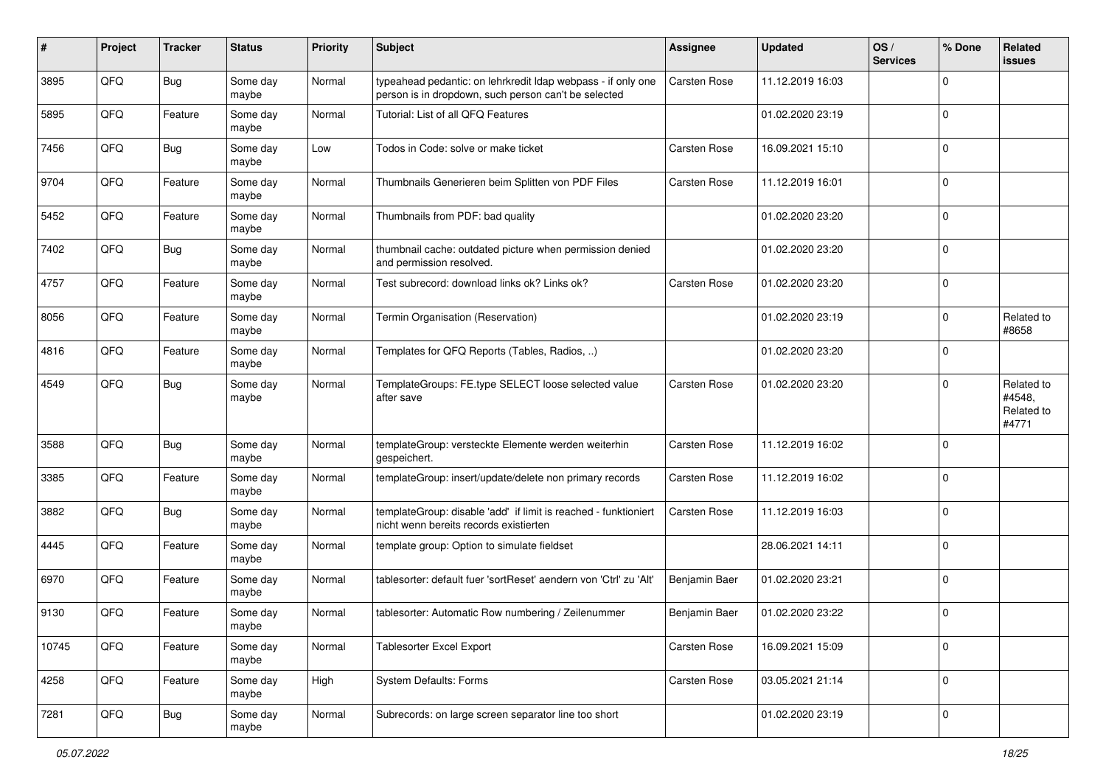| #     | Project | <b>Tracker</b> | <b>Status</b>     | <b>Priority</b> | <b>Subject</b>                                                                                                       | <b>Assignee</b> | <b>Updated</b>   | OS/<br><b>Services</b> | % Done      | Related<br>issues                           |
|-------|---------|----------------|-------------------|-----------------|----------------------------------------------------------------------------------------------------------------------|-----------------|------------------|------------------------|-------------|---------------------------------------------|
| 3895  | QFQ     | <b>Bug</b>     | Some day<br>maybe | Normal          | typeahead pedantic: on lehrkredit Idap webpass - if only one<br>person is in dropdown, such person can't be selected | Carsten Rose    | 11.12.2019 16:03 |                        | $\Omega$    |                                             |
| 5895  | QFQ     | Feature        | Some day<br>maybe | Normal          | Tutorial: List of all QFQ Features                                                                                   |                 | 01.02.2020 23:19 |                        | 0           |                                             |
| 7456  | QFQ     | <b>Bug</b>     | Some day<br>maybe | Low             | Todos in Code: solve or make ticket                                                                                  | Carsten Rose    | 16.09.2021 15:10 |                        | $\Omega$    |                                             |
| 9704  | QFQ     | Feature        | Some day<br>maybe | Normal          | Thumbnails Generieren beim Splitten von PDF Files                                                                    | Carsten Rose    | 11.12.2019 16:01 |                        | 0           |                                             |
| 5452  | QFQ     | Feature        | Some day<br>maybe | Normal          | Thumbnails from PDF: bad quality                                                                                     |                 | 01.02.2020 23:20 |                        | $\mathbf 0$ |                                             |
| 7402  | QFQ     | <b>Bug</b>     | Some day<br>maybe | Normal          | thumbnail cache: outdated picture when permission denied<br>and permission resolved.                                 |                 | 01.02.2020 23:20 |                        | $\Omega$    |                                             |
| 4757  | QFQ     | Feature        | Some day<br>maybe | Normal          | Test subrecord: download links ok? Links ok?                                                                         | Carsten Rose    | 01.02.2020 23:20 |                        | $\Omega$    |                                             |
| 8056  | QFQ     | Feature        | Some day<br>maybe | Normal          | Termin Organisation (Reservation)                                                                                    |                 | 01.02.2020 23:19 |                        | $\Omega$    | Related to<br>#8658                         |
| 4816  | QFQ     | Feature        | Some day<br>maybe | Normal          | Templates for QFQ Reports (Tables, Radios, )                                                                         |                 | 01.02.2020 23:20 |                        | $\mathbf 0$ |                                             |
| 4549  | QFQ     | <b>Bug</b>     | Some day<br>maybe | Normal          | TemplateGroups: FE.type SELECT loose selected value<br>after save                                                    | Carsten Rose    | 01.02.2020 23:20 |                        | $\Omega$    | Related to<br>#4548,<br>Related to<br>#4771 |
| 3588  | QFQ     | Bug            | Some day<br>maybe | Normal          | templateGroup: versteckte Elemente werden weiterhin<br>gespeichert.                                                  | Carsten Rose    | 11.12.2019 16:02 |                        | $\mathbf 0$ |                                             |
| 3385  | QFQ     | Feature        | Some day<br>maybe | Normal          | templateGroup: insert/update/delete non primary records                                                              | Carsten Rose    | 11.12.2019 16:02 |                        | 0           |                                             |
| 3882  | QFQ     | <b>Bug</b>     | Some day<br>maybe | Normal          | templateGroup: disable 'add' if limit is reached - funktioniert<br>nicht wenn bereits records existierten            | Carsten Rose    | 11.12.2019 16:03 |                        | $\Omega$    |                                             |
| 4445  | QFQ     | Feature        | Some day<br>maybe | Normal          | template group: Option to simulate fieldset                                                                          |                 | 28.06.2021 14:11 |                        | $\Omega$    |                                             |
| 6970  | QFQ     | Feature        | Some day<br>maybe | Normal          | tablesorter: default fuer 'sortReset' aendern von 'Ctrl' zu 'Alt'                                                    | Benjamin Baer   | 01.02.2020 23:21 |                        | $\mathbf 0$ |                                             |
| 9130  | QFQ     | Feature        | Some day<br>maybe | Normal          | tablesorter: Automatic Row numbering / Zeilenummer                                                                   | Benjamin Baer   | 01.02.2020 23:22 |                        | $\Omega$    |                                             |
| 10745 | QFQ     | Feature        | Some day<br>maybe | Normal          | <b>Tablesorter Excel Export</b>                                                                                      | Carsten Rose    | 16.09.2021 15:09 |                        | 0           |                                             |
| 4258  | QFG     | Feature        | Some day<br>maybe | High            | System Defaults: Forms                                                                                               | Carsten Rose    | 03.05.2021 21:14 |                        | 0           |                                             |
| 7281  | QFG     | <b>Bug</b>     | Some day<br>maybe | Normal          | Subrecords: on large screen separator line too short                                                                 |                 | 01.02.2020 23:19 |                        | 0           |                                             |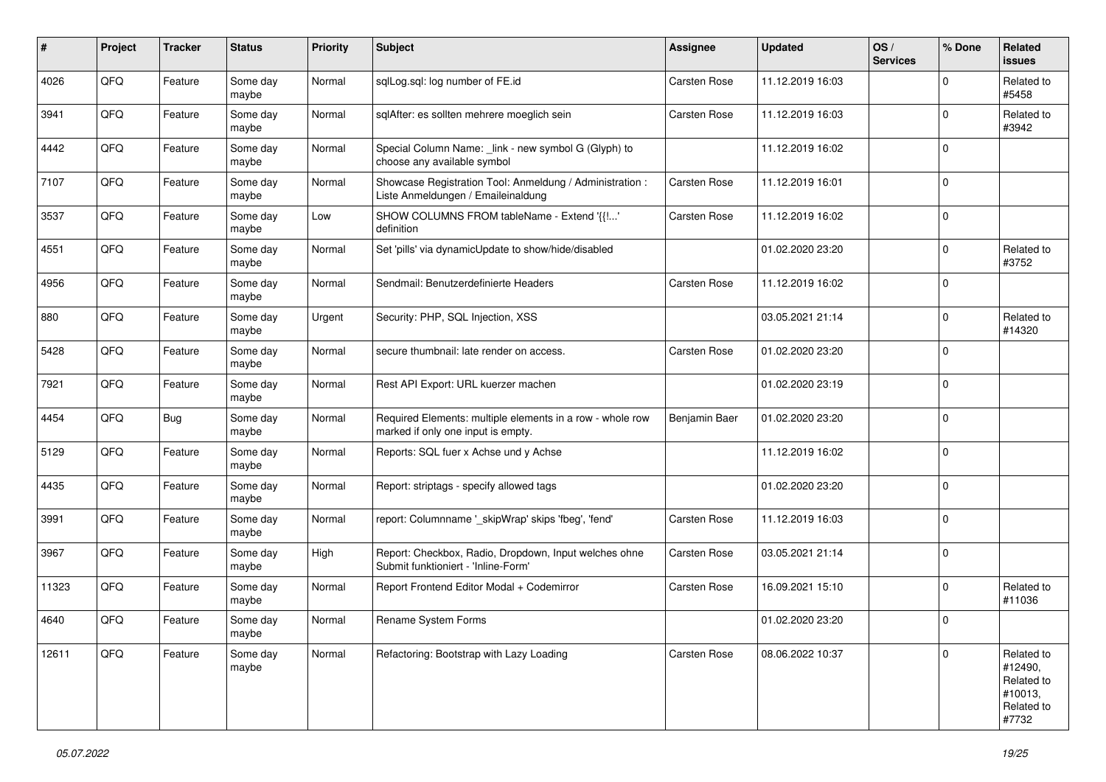| #     | Project | <b>Tracker</b> | <b>Status</b>     | <b>Priority</b> | <b>Subject</b>                                                                                  | <b>Assignee</b> | <b>Updated</b>   | OS/<br><b>Services</b> | % Done      | Related<br><b>issues</b>                                              |
|-------|---------|----------------|-------------------|-----------------|-------------------------------------------------------------------------------------------------|-----------------|------------------|------------------------|-------------|-----------------------------------------------------------------------|
| 4026  | QFQ     | Feature        | Some day<br>maybe | Normal          | sqlLog.sql: log number of FE.id                                                                 | Carsten Rose    | 11.12.2019 16:03 |                        | $\Omega$    | Related to<br>#5458                                                   |
| 3941  | QFQ     | Feature        | Some day<br>maybe | Normal          | sqlAfter: es sollten mehrere moeglich sein                                                      | Carsten Rose    | 11.12.2019 16:03 |                        | $\Omega$    | Related to<br>#3942                                                   |
| 4442  | QFQ     | Feature        | Some day<br>maybe | Normal          | Special Column Name: _link - new symbol G (Glyph) to<br>choose any available symbol             |                 | 11.12.2019 16:02 |                        | $\Omega$    |                                                                       |
| 7107  | QFQ     | Feature        | Some day<br>maybe | Normal          | Showcase Registration Tool: Anmeldung / Administration :<br>Liste Anmeldungen / Emaileinaldung  | Carsten Rose    | 11.12.2019 16:01 |                        | $\Omega$    |                                                                       |
| 3537  | QFQ     | Feature        | Some day<br>maybe | Low             | SHOW COLUMNS FROM tableName - Extend '{{!'<br>definition                                        | Carsten Rose    | 11.12.2019 16:02 |                        | $\mathbf 0$ |                                                                       |
| 4551  | QFQ     | Feature        | Some day<br>maybe | Normal          | Set 'pills' via dynamicUpdate to show/hide/disabled                                             |                 | 01.02.2020 23:20 |                        | $\Omega$    | Related to<br>#3752                                                   |
| 4956  | QFQ     | Feature        | Some day<br>maybe | Normal          | Sendmail: Benutzerdefinierte Headers                                                            | Carsten Rose    | 11.12.2019 16:02 |                        | $\Omega$    |                                                                       |
| 880   | QFQ     | Feature        | Some day<br>maybe | Urgent          | Security: PHP, SQL Injection, XSS                                                               |                 | 03.05.2021 21:14 |                        | $\Omega$    | Related to<br>#14320                                                  |
| 5428  | QFQ     | Feature        | Some day<br>maybe | Normal          | secure thumbnail: late render on access.                                                        | Carsten Rose    | 01.02.2020 23:20 |                        | $\mathbf 0$ |                                                                       |
| 7921  | QFQ     | Feature        | Some day<br>maybe | Normal          | Rest API Export: URL kuerzer machen                                                             |                 | 01.02.2020 23:19 |                        | $\Omega$    |                                                                       |
| 4454  | QFQ     | Bug            | Some day<br>maybe | Normal          | Required Elements: multiple elements in a row - whole row<br>marked if only one input is empty. | Benjamin Baer   | 01.02.2020 23:20 |                        | $\Omega$    |                                                                       |
| 5129  | QFQ     | Feature        | Some day<br>maybe | Normal          | Reports: SQL fuer x Achse und y Achse                                                           |                 | 11.12.2019 16:02 |                        | $\mathbf 0$ |                                                                       |
| 4435  | QFQ     | Feature        | Some day<br>maybe | Normal          | Report: striptags - specify allowed tags                                                        |                 | 01.02.2020 23:20 |                        | $\mathbf 0$ |                                                                       |
| 3991  | QFQ     | Feature        | Some day<br>maybe | Normal          | report: Columnname '_skipWrap' skips 'fbeg', 'fend'                                             | Carsten Rose    | 11.12.2019 16:03 |                        | $\Omega$    |                                                                       |
| 3967  | QFQ     | Feature        | Some day<br>maybe | High            | Report: Checkbox, Radio, Dropdown, Input welches ohne<br>Submit funktioniert - 'Inline-Form'    | Carsten Rose    | 03.05.2021 21:14 |                        | $\mathbf 0$ |                                                                       |
| 11323 | QFQ     | Feature        | Some day<br>maybe | Normal          | Report Frontend Editor Modal + Codemirror                                                       | Carsten Rose    | 16.09.2021 15:10 |                        | $\Omega$    | Related to<br>#11036                                                  |
| 4640  | QFQ     | Feature        | Some day<br>maybe | Normal          | Rename System Forms                                                                             |                 | 01.02.2020 23:20 |                        | $\Omega$    |                                                                       |
| 12611 | QFQ     | Feature        | Some day<br>maybe | Normal          | Refactoring: Bootstrap with Lazy Loading                                                        | Carsten Rose    | 08.06.2022 10:37 |                        | $\Omega$    | Related to<br>#12490,<br>Related to<br>#10013,<br>Related to<br>#7732 |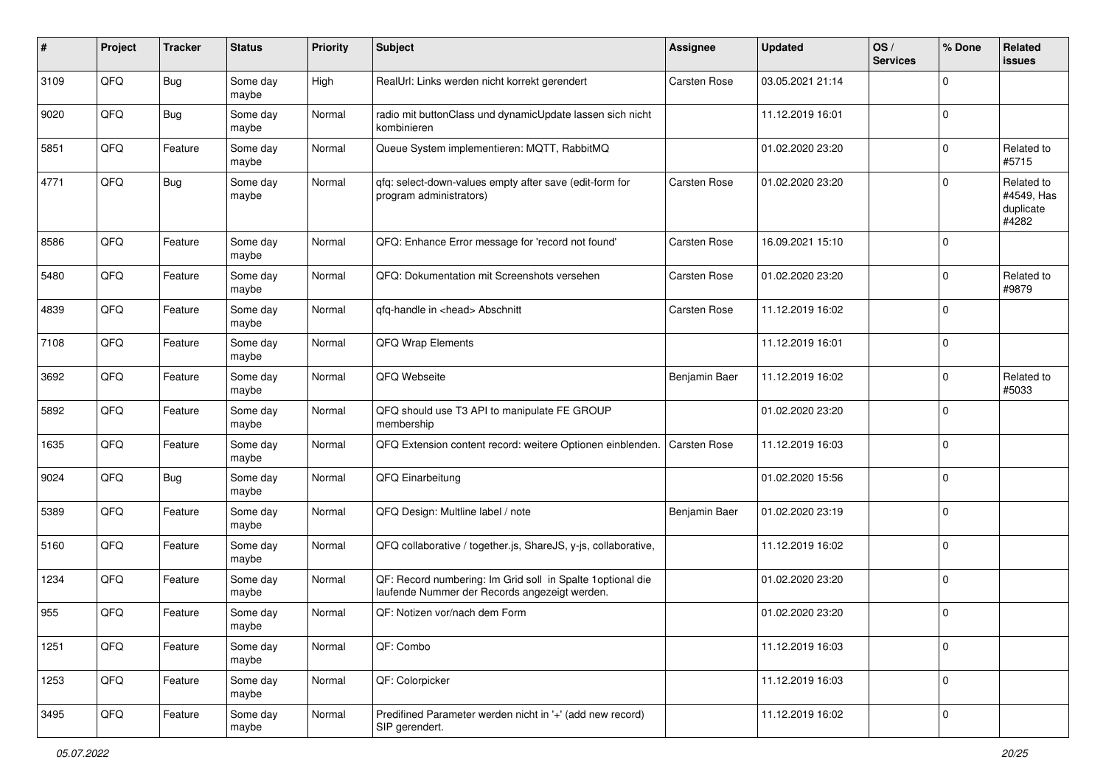| #    | Project | <b>Tracker</b> | <b>Status</b>     | <b>Priority</b> | <b>Subject</b>                                                                                               | <b>Assignee</b>     | <b>Updated</b>   | OS/<br><b>Services</b> | % Done      | Related<br>issues                              |
|------|---------|----------------|-------------------|-----------------|--------------------------------------------------------------------------------------------------------------|---------------------|------------------|------------------------|-------------|------------------------------------------------|
| 3109 | QFQ     | <b>Bug</b>     | Some day<br>maybe | High            | RealUrl: Links werden nicht korrekt gerendert                                                                | Carsten Rose        | 03.05.2021 21:14 |                        | 0           |                                                |
| 9020 | QFQ     | <b>Bug</b>     | Some day<br>maybe | Normal          | radio mit buttonClass und dynamicUpdate lassen sich nicht<br>kombinieren                                     |                     | 11.12.2019 16:01 |                        | $\mathbf 0$ |                                                |
| 5851 | QFQ     | Feature        | Some day<br>maybe | Normal          | Queue System implementieren: MQTT, RabbitMQ                                                                  |                     | 01.02.2020 23:20 |                        | 0           | Related to<br>#5715                            |
| 4771 | QFQ     | <b>Bug</b>     | Some day<br>maybe | Normal          | qfq: select-down-values empty after save (edit-form for<br>program administrators)                           | <b>Carsten Rose</b> | 01.02.2020 23:20 |                        | $\Omega$    | Related to<br>#4549, Has<br>duplicate<br>#4282 |
| 8586 | QFQ     | Feature        | Some day<br>maybe | Normal          | QFQ: Enhance Error message for 'record not found'                                                            | <b>Carsten Rose</b> | 16.09.2021 15:10 |                        | 0           |                                                |
| 5480 | QFQ     | Feature        | Some day<br>maybe | Normal          | QFQ: Dokumentation mit Screenshots versehen                                                                  | Carsten Rose        | 01.02.2020 23:20 |                        | $\mathbf 0$ | Related to<br>#9879                            |
| 4839 | QFQ     | Feature        | Some day<br>maybe | Normal          | qfq-handle in <head> Abschnitt</head>                                                                        | Carsten Rose        | 11.12.2019 16:02 |                        | $\Omega$    |                                                |
| 7108 | QFQ     | Feature        | Some day<br>maybe | Normal          | QFQ Wrap Elements                                                                                            |                     | 11.12.2019 16:01 |                        | $\Omega$    |                                                |
| 3692 | QFQ     | Feature        | Some day<br>maybe | Normal          | QFQ Webseite                                                                                                 | Benjamin Baer       | 11.12.2019 16:02 |                        | $\Omega$    | Related to<br>#5033                            |
| 5892 | QFQ     | Feature        | Some day<br>maybe | Normal          | QFQ should use T3 API to manipulate FE GROUP<br>membership                                                   |                     | 01.02.2020 23:20 |                        | $\mathbf 0$ |                                                |
| 1635 | QFQ     | Feature        | Some day<br>maybe | Normal          | QFQ Extension content record: weitere Optionen einblenden.                                                   | <b>Carsten Rose</b> | 11.12.2019 16:03 |                        | $\mathbf 0$ |                                                |
| 9024 | QFQ     | <b>Bug</b>     | Some day<br>maybe | Normal          | QFQ Einarbeitung                                                                                             |                     | 01.02.2020 15:56 |                        | $\Omega$    |                                                |
| 5389 | QFQ     | Feature        | Some day<br>maybe | Normal          | QFQ Design: Multline label / note                                                                            | Benjamin Baer       | 01.02.2020 23:19 |                        | $\Omega$    |                                                |
| 5160 | QFQ     | Feature        | Some day<br>maybe | Normal          | QFQ collaborative / together.js, ShareJS, y-js, collaborative,                                               |                     | 11.12.2019 16:02 |                        | $\Omega$    |                                                |
| 1234 | QFQ     | Feature        | Some day<br>maybe | Normal          | QF: Record numbering: Im Grid soll in Spalte 1 optional die<br>laufende Nummer der Records angezeigt werden. |                     | 01.02.2020 23:20 |                        | $\Omega$    |                                                |
| 955  | QFQ     | Feature        | Some day<br>maybe | Normal          | QF: Notizen vor/nach dem Form                                                                                |                     | 01.02.2020 23:20 |                        | $\Omega$    |                                                |
| 1251 | QFG     | Feature        | Some day<br>maybe | Normal          | QF: Combo                                                                                                    |                     | 11.12.2019 16:03 |                        | $\mathbf 0$ |                                                |
| 1253 | QFG     | Feature        | Some day<br>maybe | Normal          | QF: Colorpicker                                                                                              |                     | 11.12.2019 16:03 |                        | $\mathbf 0$ |                                                |
| 3495 | QFO     | Feature        | Some day<br>maybe | Normal          | Predifined Parameter werden nicht in '+' (add new record)<br>SIP gerendert.                                  |                     | 11.12.2019 16:02 |                        | $\mathbf 0$ |                                                |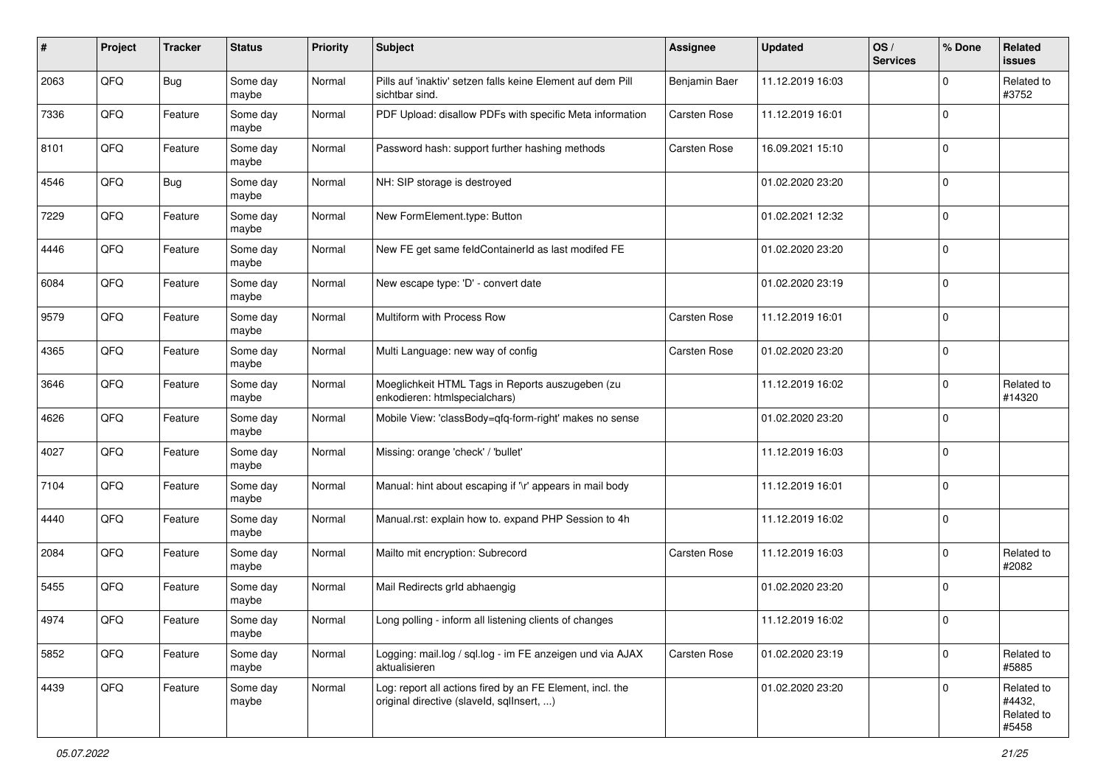| #    | Project | <b>Tracker</b> | <b>Status</b>     | <b>Priority</b> | <b>Subject</b>                                                                                         | <b>Assignee</b>     | <b>Updated</b>   | OS/<br><b>Services</b> | % Done      | Related<br>issues                           |
|------|---------|----------------|-------------------|-----------------|--------------------------------------------------------------------------------------------------------|---------------------|------------------|------------------------|-------------|---------------------------------------------|
| 2063 | QFQ     | <b>Bug</b>     | Some day<br>maybe | Normal          | Pills auf 'inaktiv' setzen falls keine Element auf dem Pill<br>sichtbar sind.                          | Benjamin Baer       | 11.12.2019 16:03 |                        | $\Omega$    | Related to<br>#3752                         |
| 7336 | QFQ     | Feature        | Some day<br>maybe | Normal          | PDF Upload: disallow PDFs with specific Meta information                                               | <b>Carsten Rose</b> | 11.12.2019 16:01 |                        | $\Omega$    |                                             |
| 8101 | QFQ     | Feature        | Some day<br>maybe | Normal          | Password hash: support further hashing methods                                                         | Carsten Rose        | 16.09.2021 15:10 |                        | 0           |                                             |
| 4546 | QFQ     | <b>Bug</b>     | Some day<br>maybe | Normal          | NH: SIP storage is destroyed                                                                           |                     | 01.02.2020 23:20 |                        | $\mathbf 0$ |                                             |
| 7229 | QFQ     | Feature        | Some day<br>maybe | Normal          | New FormElement.type: Button                                                                           |                     | 01.02.2021 12:32 |                        | $\Omega$    |                                             |
| 4446 | QFQ     | Feature        | Some day<br>maybe | Normal          | New FE get same feldContainerId as last modifed FE                                                     |                     | 01.02.2020 23:20 |                        | $\Omega$    |                                             |
| 6084 | QFQ     | Feature        | Some day<br>maybe | Normal          | New escape type: 'D' - convert date                                                                    |                     | 01.02.2020 23:19 |                        | $\Omega$    |                                             |
| 9579 | QFQ     | Feature        | Some day<br>maybe | Normal          | Multiform with Process Row                                                                             | Carsten Rose        | 11.12.2019 16:01 |                        | $\mathbf 0$ |                                             |
| 4365 | QFQ     | Feature        | Some day<br>maybe | Normal          | Multi Language: new way of config                                                                      | Carsten Rose        | 01.02.2020 23:20 |                        | $\mathbf 0$ |                                             |
| 3646 | QFQ     | Feature        | Some day<br>maybe | Normal          | Moeglichkeit HTML Tags in Reports auszugeben (zu<br>enkodieren: htmlspecialchars)                      |                     | 11.12.2019 16:02 |                        | 0           | Related to<br>#14320                        |
| 4626 | QFQ     | Feature        | Some day<br>maybe | Normal          | Mobile View: 'classBody=qfq-form-right' makes no sense                                                 |                     | 01.02.2020 23:20 |                        | $\Omega$    |                                             |
| 4027 | QFQ     | Feature        | Some day<br>maybe | Normal          | Missing: orange 'check' / 'bullet'                                                                     |                     | 11.12.2019 16:03 |                        | $\mathbf 0$ |                                             |
| 7104 | QFQ     | Feature        | Some day<br>maybe | Normal          | Manual: hint about escaping if '\r' appears in mail body                                               |                     | 11.12.2019 16:01 |                        | $\Omega$    |                                             |
| 4440 | QFQ     | Feature        | Some day<br>maybe | Normal          | Manual.rst: explain how to. expand PHP Session to 4h                                                   |                     | 11.12.2019 16:02 |                        | $\Omega$    |                                             |
| 2084 | QFQ     | Feature        | Some day<br>maybe | Normal          | Mailto mit encryption: Subrecord                                                                       | Carsten Rose        | 11.12.2019 16:03 |                        | $\Omega$    | Related to<br>#2082                         |
| 5455 | QFQ     | Feature        | Some day<br>maybe | Normal          | Mail Redirects grld abhaengig                                                                          |                     | 01.02.2020 23:20 |                        | 0           |                                             |
| 4974 | QFQ     | Feature        | Some day<br>maybe | Normal          | Long polling - inform all listening clients of changes                                                 |                     | 11.12.2019 16:02 |                        | 0           |                                             |
| 5852 | QFQ     | Feature        | Some day<br>maybe | Normal          | Logging: mail.log / sql.log - im FE anzeigen und via AJAX<br>aktualisieren                             | Carsten Rose        | 01.02.2020 23:19 |                        | $\mathbf 0$ | Related to<br>#5885                         |
| 4439 | QFQ     | Feature        | Some day<br>maybe | Normal          | Log: report all actions fired by an FE Element, incl. the<br>original directive (slaveld, sqllnsert, ) |                     | 01.02.2020 23:20 |                        | $\mathbf 0$ | Related to<br>#4432,<br>Related to<br>#5458 |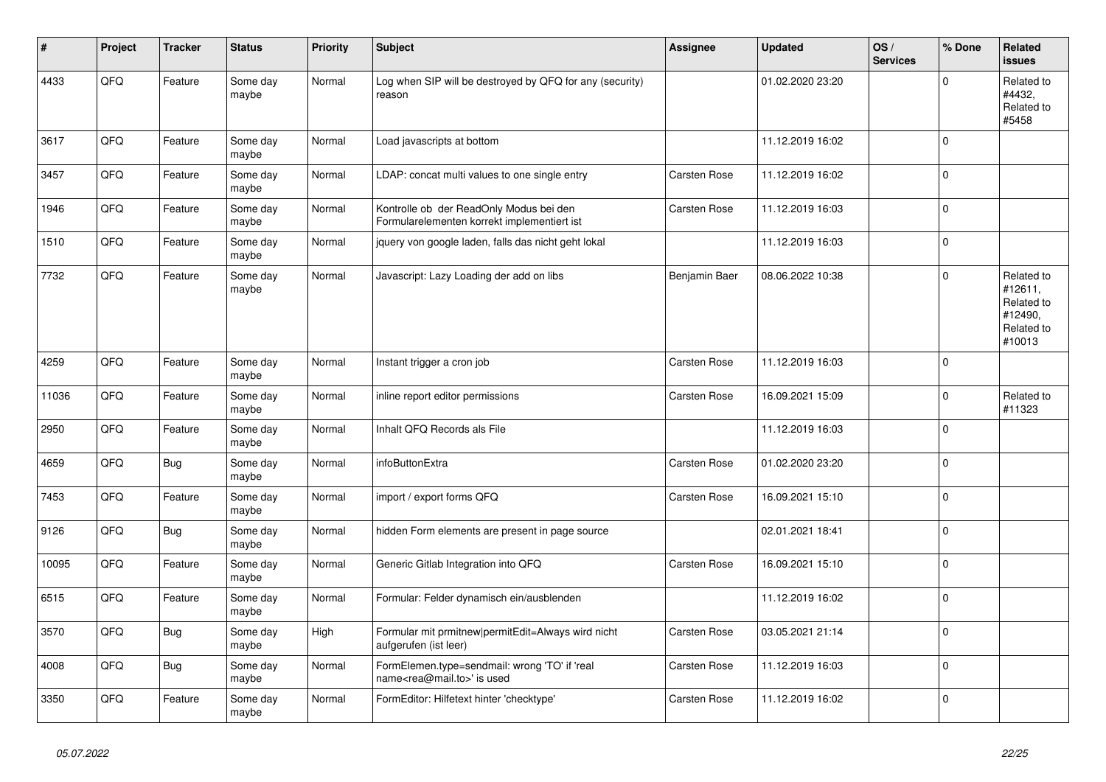| #     | Project | <b>Tracker</b> | <b>Status</b>     | <b>Priority</b> | <b>Subject</b>                                                                             | <b>Assignee</b> | <b>Updated</b>   | OS/<br><b>Services</b> | % Done      | Related<br><b>issues</b>                                               |
|-------|---------|----------------|-------------------|-----------------|--------------------------------------------------------------------------------------------|-----------------|------------------|------------------------|-------------|------------------------------------------------------------------------|
| 4433  | QFQ     | Feature        | Some day<br>maybe | Normal          | Log when SIP will be destroyed by QFQ for any (security)<br>reason                         |                 | 01.02.2020 23:20 |                        | $\Omega$    | Related to<br>#4432,<br>Related to<br>#5458                            |
| 3617  | QFQ     | Feature        | Some day<br>maybe | Normal          | Load javascripts at bottom                                                                 |                 | 11.12.2019 16:02 |                        | $\Omega$    |                                                                        |
| 3457  | QFQ     | Feature        | Some day<br>maybe | Normal          | LDAP: concat multi values to one single entry                                              | Carsten Rose    | 11.12.2019 16:02 |                        | $\Omega$    |                                                                        |
| 1946  | QFQ     | Feature        | Some day<br>maybe | Normal          | Kontrolle ob der ReadOnly Modus bei den<br>Formularelementen korrekt implementiert ist     | Carsten Rose    | 11.12.2019 16:03 |                        | $\mathbf 0$ |                                                                        |
| 1510  | QFQ     | Feature        | Some day<br>maybe | Normal          | jquery von google laden, falls das nicht geht lokal                                        |                 | 11.12.2019 16:03 |                        | $\Omega$    |                                                                        |
| 7732  | QFQ     | Feature        | Some day<br>maybe | Normal          | Javascript: Lazy Loading der add on libs                                                   | Benjamin Baer   | 08.06.2022 10:38 |                        | $\Omega$    | Related to<br>#12611,<br>Related to<br>#12490,<br>Related to<br>#10013 |
| 4259  | QFQ     | Feature        | Some day<br>maybe | Normal          | Instant trigger a cron job                                                                 | Carsten Rose    | 11.12.2019 16:03 |                        | $\mathbf 0$ |                                                                        |
| 11036 | QFQ     | Feature        | Some day<br>maybe | Normal          | inline report editor permissions                                                           | Carsten Rose    | 16.09.2021 15:09 |                        | $\Omega$    | Related to<br>#11323                                                   |
| 2950  | QFQ     | Feature        | Some day<br>maybe | Normal          | Inhalt QFQ Records als File                                                                |                 | 11.12.2019 16:03 |                        | $\Omega$    |                                                                        |
| 4659  | QFQ     | Bug            | Some day<br>maybe | Normal          | infoButtonExtra                                                                            | Carsten Rose    | 01.02.2020 23:20 |                        | $\Omega$    |                                                                        |
| 7453  | QFQ     | Feature        | Some day<br>maybe | Normal          | import / export forms QFQ                                                                  | Carsten Rose    | 16.09.2021 15:10 |                        | $\mathbf 0$ |                                                                        |
| 9126  | QFQ     | <b>Bug</b>     | Some day<br>maybe | Normal          | hidden Form elements are present in page source                                            |                 | 02.01.2021 18:41 |                        | $\Omega$    |                                                                        |
| 10095 | QFQ     | Feature        | Some day<br>maybe | Normal          | Generic Gitlab Integration into QFQ                                                        | Carsten Rose    | 16.09.2021 15:10 |                        | $\Omega$    |                                                                        |
| 6515  | QFQ     | Feature        | Some day<br>maybe | Normal          | Formular: Felder dynamisch ein/ausblenden                                                  |                 | 11.12.2019 16:02 |                        | $\Omega$    |                                                                        |
| 3570  | QFQ     | Bug            | Some day<br>maybe | High            | Formular mit prmitnew permitEdit=Always wird nicht<br>aufgerufen (ist leer)                | Carsten Rose    | 03.05.2021 21:14 |                        | $\Omega$    |                                                                        |
| 4008  | QFQ     | <b>Bug</b>     | Some day<br>maybe | Normal          | FormElemen.type=sendmail: wrong 'TO' if 'real<br>name <rea@mail.to>' is used</rea@mail.to> | Carsten Rose    | 11.12.2019 16:03 |                        | $\Omega$    |                                                                        |
| 3350  | QFQ     | Feature        | Some day<br>maybe | Normal          | FormEditor: Hilfetext hinter 'checktype'                                                   | Carsten Rose    | 11.12.2019 16:02 |                        | $\Omega$    |                                                                        |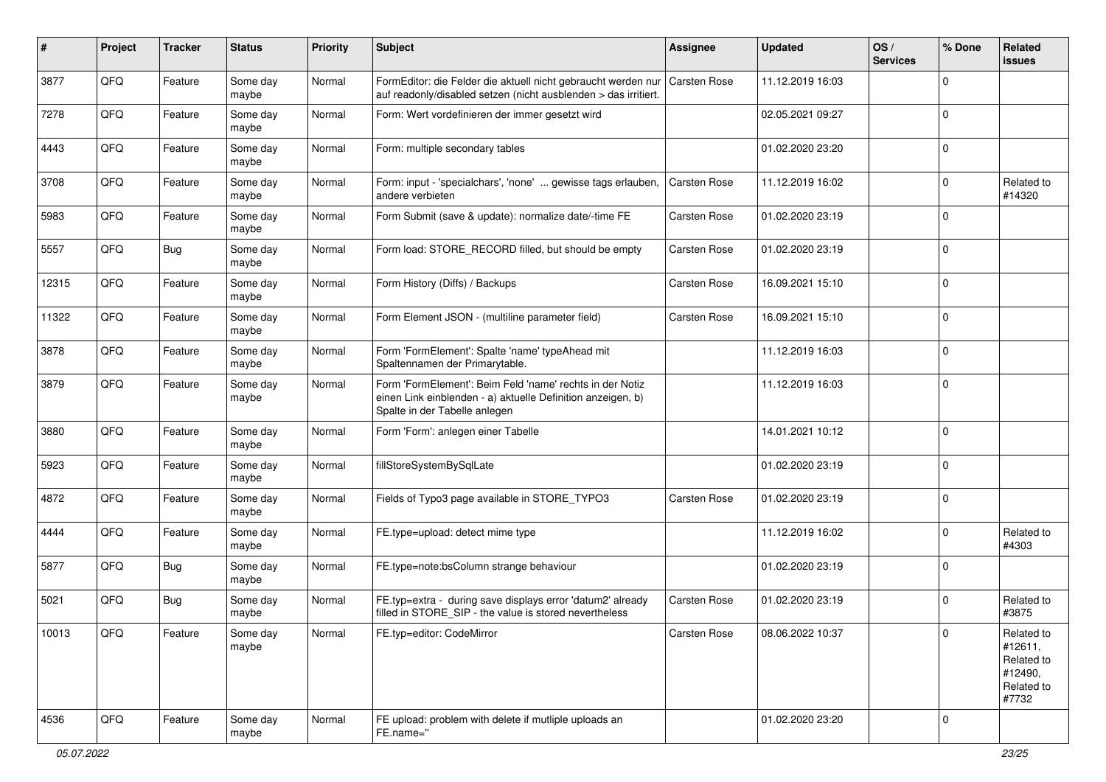| #     | Project | <b>Tracker</b> | <b>Status</b>     | <b>Priority</b> | <b>Subject</b>                                                                                                                                           | <b>Assignee</b>     | <b>Updated</b>   | OS/<br><b>Services</b> | % Done      | Related<br><b>issues</b>                                              |
|-------|---------|----------------|-------------------|-----------------|----------------------------------------------------------------------------------------------------------------------------------------------------------|---------------------|------------------|------------------------|-------------|-----------------------------------------------------------------------|
| 3877  | QFQ     | Feature        | Some day<br>maybe | Normal          | FormEditor: die Felder die aktuell nicht gebraucht werden nur<br>auf readonly/disabled setzen (nicht ausblenden > das irritiert.                         | <b>Carsten Rose</b> | 11.12.2019 16:03 |                        | $\Omega$    |                                                                       |
| 7278  | QFQ     | Feature        | Some day<br>maybe | Normal          | Form: Wert vordefinieren der immer gesetzt wird                                                                                                          |                     | 02.05.2021 09:27 |                        | $\Omega$    |                                                                       |
| 4443  | QFQ     | Feature        | Some day<br>maybe | Normal          | Form: multiple secondary tables                                                                                                                          |                     | 01.02.2020 23:20 |                        | $\Omega$    |                                                                       |
| 3708  | QFQ     | Feature        | Some day<br>maybe | Normal          | Form: input - 'specialchars', 'none'  gewisse tags erlauben,<br>andere verbieten                                                                         | Carsten Rose        | 11.12.2019 16:02 |                        | $\Omega$    | Related to<br>#14320                                                  |
| 5983  | QFQ     | Feature        | Some day<br>maybe | Normal          | Form Submit (save & update): normalize date/-time FE                                                                                                     | Carsten Rose        | 01.02.2020 23:19 |                        | $\Omega$    |                                                                       |
| 5557  | QFQ     | Bug            | Some day<br>maybe | Normal          | Form load: STORE_RECORD filled, but should be empty                                                                                                      | Carsten Rose        | 01.02.2020 23:19 |                        | $\Omega$    |                                                                       |
| 12315 | QFQ     | Feature        | Some day<br>maybe | Normal          | Form History (Diffs) / Backups                                                                                                                           | Carsten Rose        | 16.09.2021 15:10 |                        | $\Omega$    |                                                                       |
| 11322 | QFQ     | Feature        | Some day<br>maybe | Normal          | Form Element JSON - (multiline parameter field)                                                                                                          | Carsten Rose        | 16.09.2021 15:10 |                        | $\mathbf 0$ |                                                                       |
| 3878  | QFQ     | Feature        | Some day<br>maybe | Normal          | Form 'FormElement': Spalte 'name' typeAhead mit<br>Spaltennamen der Primarytable.                                                                        |                     | 11.12.2019 16:03 |                        | $\mathbf 0$ |                                                                       |
| 3879  | QFQ     | Feature        | Some day<br>maybe | Normal          | Form 'FormElement': Beim Feld 'name' rechts in der Notiz<br>einen Link einblenden - a) aktuelle Definition anzeigen, b)<br>Spalte in der Tabelle anlegen |                     | 11.12.2019 16:03 |                        | $\Omega$    |                                                                       |
| 3880  | QFQ     | Feature        | Some day<br>maybe | Normal          | Form 'Form': anlegen einer Tabelle                                                                                                                       |                     | 14.01.2021 10:12 |                        | $\Omega$    |                                                                       |
| 5923  | QFQ     | Feature        | Some day<br>maybe | Normal          | fillStoreSystemBySqlLate                                                                                                                                 |                     | 01.02.2020 23:19 |                        | $\mathbf 0$ |                                                                       |
| 4872  | QFQ     | Feature        | Some day<br>maybe | Normal          | Fields of Typo3 page available in STORE_TYPO3                                                                                                            | Carsten Rose        | 01.02.2020 23:19 |                        | $\mathbf 0$ |                                                                       |
| 4444  | QFQ     | Feature        | Some day<br>maybe | Normal          | FE.type=upload: detect mime type                                                                                                                         |                     | 11.12.2019 16:02 |                        | $\Omega$    | Related to<br>#4303                                                   |
| 5877  | QFQ     | <b>Bug</b>     | Some day<br>maybe | Normal          | FE.type=note:bsColumn strange behaviour                                                                                                                  |                     | 01.02.2020 23:19 |                        | $\Omega$    |                                                                       |
| 5021  | QFQ     | Bug            | Some day<br>maybe | Normal          | FE.typ=extra - during save displays error 'datum2' already<br>filled in STORE_SIP - the value is stored nevertheless                                     | Carsten Rose        | 01.02.2020 23:19 |                        | $\Omega$    | Related to<br>#3875                                                   |
| 10013 | QFQ     | Feature        | Some day<br>maybe | Normal          | FE.typ=editor: CodeMirror                                                                                                                                | Carsten Rose        | 08.06.2022 10:37 |                        | 0           | Related to<br>#12611,<br>Related to<br>#12490,<br>Related to<br>#7732 |
| 4536  | QFQ     | Feature        | Some day<br>maybe | Normal          | FE upload: problem with delete if mutliple uploads an<br>FE.name="                                                                                       |                     | 01.02.2020 23:20 |                        | 0           |                                                                       |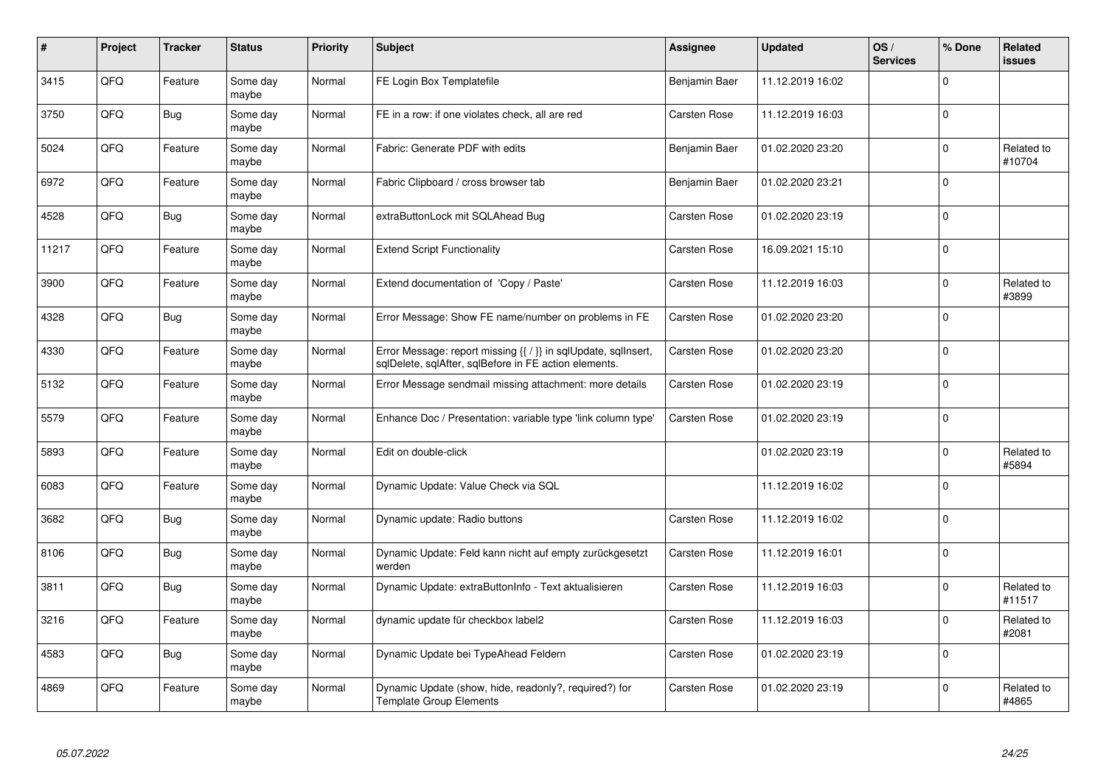| #     | Project | <b>Tracker</b> | <b>Status</b>     | <b>Priority</b> | <b>Subject</b>                                                                                                          | Assignee      | <b>Updated</b>   | OS/<br><b>Services</b> | % Done      | Related<br><b>issues</b> |
|-------|---------|----------------|-------------------|-----------------|-------------------------------------------------------------------------------------------------------------------------|---------------|------------------|------------------------|-------------|--------------------------|
| 3415  | QFQ     | Feature        | Some day<br>maybe | Normal          | FE Login Box Templatefile                                                                                               | Benjamin Baer | 11.12.2019 16:02 |                        | $\Omega$    |                          |
| 3750  | QFQ     | Bug            | Some day<br>maybe | Normal          | FE in a row: if one violates check, all are red                                                                         | Carsten Rose  | 11.12.2019 16:03 |                        | $\Omega$    |                          |
| 5024  | QFQ     | Feature        | Some day<br>maybe | Normal          | Fabric: Generate PDF with edits                                                                                         | Benjamin Baer | 01.02.2020 23:20 |                        | $\Omega$    | Related to<br>#10704     |
| 6972  | QFQ     | Feature        | Some day<br>maybe | Normal          | Fabric Clipboard / cross browser tab                                                                                    | Benjamin Baer | 01.02.2020 23:21 |                        | $\Omega$    |                          |
| 4528  | QFQ     | Bug            | Some day<br>maybe | Normal          | extraButtonLock mit SQLAhead Bug                                                                                        | Carsten Rose  | 01.02.2020 23:19 |                        | $\Omega$    |                          |
| 11217 | QFQ     | Feature        | Some day<br>maybe | Normal          | <b>Extend Script Functionality</b>                                                                                      | Carsten Rose  | 16.09.2021 15:10 |                        | $\Omega$    |                          |
| 3900  | QFQ     | Feature        | Some day<br>maybe | Normal          | Extend documentation of 'Copy / Paste'                                                                                  | Carsten Rose  | 11.12.2019 16:03 |                        | $\Omega$    | Related to<br>#3899      |
| 4328  | QFQ     | Bug            | Some day<br>maybe | Normal          | Error Message: Show FE name/number on problems in FE                                                                    | Carsten Rose  | 01.02.2020 23:20 |                        | $\Omega$    |                          |
| 4330  | QFQ     | Feature        | Some day<br>maybe | Normal          | Error Message: report missing {{ / }} in sqlUpdate, sqlInsert,<br>sqlDelete, sqlAfter, sqlBefore in FE action elements. | Carsten Rose  | 01.02.2020 23:20 |                        | $\mathbf 0$ |                          |
| 5132  | QFQ     | Feature        | Some day<br>maybe | Normal          | Error Message sendmail missing attachment: more details                                                                 | Carsten Rose  | 01.02.2020 23:19 |                        | $\Omega$    |                          |
| 5579  | QFQ     | Feature        | Some day<br>maybe | Normal          | Enhance Doc / Presentation: variable type 'link column type'                                                            | Carsten Rose  | 01.02.2020 23:19 |                        | $\Omega$    |                          |
| 5893  | QFQ     | Feature        | Some day<br>maybe | Normal          | Edit on double-click                                                                                                    |               | 01.02.2020 23:19 |                        | $\Omega$    | Related to<br>#5894      |
| 6083  | QFQ     | Feature        | Some day<br>maybe | Normal          | Dynamic Update: Value Check via SQL                                                                                     |               | 11.12.2019 16:02 |                        | $\mathbf 0$ |                          |
| 3682  | QFQ     | <b>Bug</b>     | Some day<br>maybe | Normal          | Dynamic update: Radio buttons                                                                                           | Carsten Rose  | 11.12.2019 16:02 |                        | $\mathbf 0$ |                          |
| 8106  | QFQ     | <b>Bug</b>     | Some day<br>maybe | Normal          | Dynamic Update: Feld kann nicht auf empty zurückgesetzt<br>werden                                                       | Carsten Rose  | 11.12.2019 16:01 |                        | $\Omega$    |                          |
| 3811  | QFQ     | Bug            | Some day<br>maybe | Normal          | Dynamic Update: extraButtonInfo - Text aktualisieren                                                                    | Carsten Rose  | 11.12.2019 16:03 |                        | $\Omega$    | Related to<br>#11517     |
| 3216  | QFQ     | Feature        | Some day<br>maybe | Normal          | dynamic update für checkbox label2                                                                                      | Carsten Rose  | 11.12.2019 16:03 |                        | $\Omega$    | Related to<br>#2081      |
| 4583  | QFQ     | Bug            | Some day<br>maybe | Normal          | Dynamic Update bei TypeAhead Feldern                                                                                    | Carsten Rose  | 01.02.2020 23:19 |                        | $\Omega$    |                          |
| 4869  | QFQ     | Feature        | Some day<br>maybe | Normal          | Dynamic Update (show, hide, readonly?, required?) for<br><b>Template Group Elements</b>                                 | Carsten Rose  | 01.02.2020 23:19 |                        | $\Omega$    | Related to<br>#4865      |